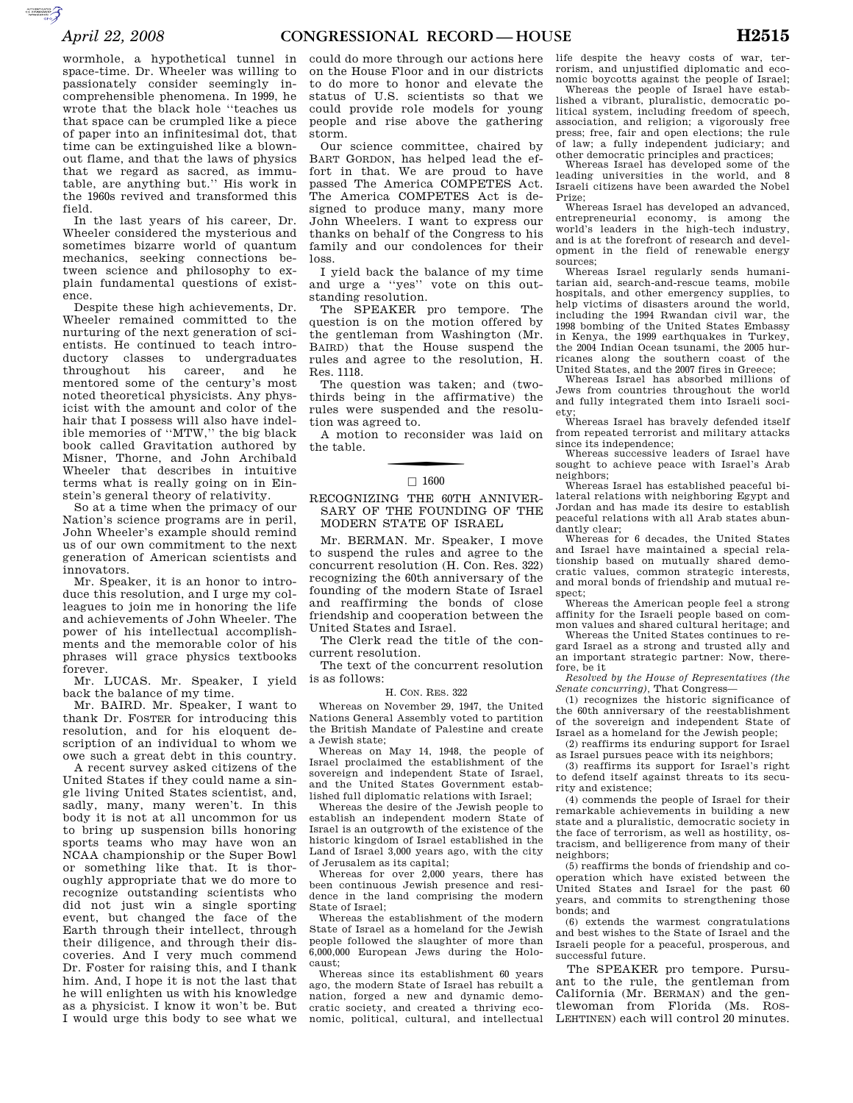wormhole, a hypothetical tunnel in space-time. Dr. Wheeler was willing to passionately consider seemingly incomprehensible phenomena. In 1999, he wrote that the black hole ''teaches us that space can be crumpled like a piece of paper into an infinitesimal dot, that time can be extinguished like a blownout flame, and that the laws of physics that we regard as sacred, as immutable, are anything but.'' His work in the 1960s revived and transformed this field.

In the last years of his career, Dr. Wheeler considered the mysterious and sometimes bizarre world of quantum mechanics, seeking connections between science and philosophy to explain fundamental questions of existence.

Despite these high achievements, Dr. Wheeler remained committed to the nurturing of the next generation of scientists. He continued to teach introductory classes to undergraduates throughout his career, and he mentored some of the century's most noted theoretical physicists. Any physicist with the amount and color of the hair that I possess will also have indelible memories of ''MTW,'' the big black book called Gravitation authored by Misner, Thorne, and John Archibald Wheeler that describes in intuitive terms what is really going on in Einstein's general theory of relativity.

So at a time when the primacy of our Nation's science programs are in peril, John Wheeler's example should remind us of our own commitment to the next generation of American scientists and innovators.

Mr. Speaker, it is an honor to introduce this resolution, and I urge my colleagues to join me in honoring the life and achievements of John Wheeler. The power of his intellectual accomplishments and the memorable color of his phrases will grace physics textbooks forever.

Mr. LUCAS. Mr. Speaker, I yield back the balance of my time.

Mr. BAIRD. Mr. Speaker, I want to thank Dr. FOSTER for introducing this resolution, and for his eloquent description of an individual to whom we owe such a great debt in this country.

A recent survey asked citizens of the United States if they could name a single living United States scientist, and, sadly, many, many weren't. In this body it is not at all uncommon for us to bring up suspension bills honoring sports teams who may have won an NCAA championship or the Super Bowl or something like that. It is thoroughly appropriate that we do more to recognize outstanding scientists who did not just win a single sporting event, but changed the face of the Earth through their intellect, through their diligence, and through their discoveries. And I very much commend Dr. Foster for raising this, and I thank him. And, I hope it is not the last that he will enlighten us with his knowledge as a physicist. I know it won't be. But I would urge this body to see what we

could do more through our actions here on the House Floor and in our districts to do more to honor and elevate the status of U.S. scientists so that we could provide role models for young people and rise above the gathering storm.

Our science committee, chaired by BART GORDON, has helped lead the effort in that. We are proud to have passed The America COMPETES Act. The America COMPETES Act is designed to produce many, many more John Wheelers. I want to express our thanks on behalf of the Congress to his family and our condolences for their loss.

I yield back the balance of my time and urge a ''yes'' vote on this outstanding resolution.

The SPEAKER pro tempore. The question is on the motion offered by the gentleman from Washington (Mr. BAIRD) that the House suspend the rules and agree to the resolution, H. Res. 1118.

The question was taken; and (twothirds being in the affirmative) the rules were suspended and the resolution was agreed to.

A motion to reconsider was laid on the table.

# $\Box$  1600

## RECOGNIZING THE 60TH ANNIVER-SARY OF THE FOUNDING OF THE MODERN STATE OF ISRAEL

Mr. BERMAN. Mr. Speaker, I move to suspend the rules and agree to the concurrent resolution (H. Con. Res. 322) recognizing the 60th anniversary of the founding of the modern State of Israel and reaffirming the bonds of close friendship and cooperation between the United States and Israel.

The Clerk read the title of the concurrent resolution.

The text of the concurrent resolution is as follows:

#### H. CON. RES. 322

Whereas on November 29, 1947, the United Nations General Assembly voted to partition the British Mandate of Palestine and create a Jewish state;

Whereas on May 14, 1948, the people of Israel proclaimed the establishment of the sovereign and independent State of Israel, and the United States Government established full diplomatic relations with Israel;

Whereas the desire of the Jewish people to establish an independent modern State of Israel is an outgrowth of the existence of the historic kingdom of Israel established in the Land of Israel 3,000 years ago, with the city of Jerusalem as its capital;

Whereas for over 2,000 years, there has been continuous Jewish presence and residence in the land comprising the modern State of Israel;

Whereas the establishment of the modern State of Israel as a homeland for the Jewish people followed the slaughter of more than 6,000,000 European Jews during the Holocaust;

Whereas since its establishment 60 years ago, the modern State of Israel has rebuilt a nation, forged a new and dynamic democratic society, and created a thriving economic, political, cultural, and intellectual

life despite the heavy costs of war, terrorism, and unjustified diplomatic and economic boycotts against the people of Israel; Whereas the people of Israel have established a vibrant, pluralistic, democratic political system, including freedom of speech, association, and religion; a vigorously free press; free, fair and open elections; the rule of law; a fully independent judiciary; and other democratic principles and practices;

Whereas Israel has developed some of the leading universities in the world, and 8 Israeli citizens have been awarded the Nobel Prize;

Whereas Israel has developed an advanced, entrepreneurial economy, is among the world's leaders in the high-tech industry, and is at the forefront of research and development in the field of renewable energy sources;

Whereas Israel regularly sends humanitarian aid, search-and-rescue teams, mobile hospitals, and other emergency supplies, to help victims of disasters around the world, including the 1994 Rwandan civil war, the 1998 bombing of the United States Embassy in Kenya, the 1999 earthquakes in Turkey, the 2004 Indian Ocean tsunami, the 2005 hurricanes along the southern coast of the United States, and the 2007 fires in Greece;

Whereas Israel has absorbed millions of Jews from countries throughout the world and fully integrated them into Israeli soci-

ety; Whereas Israel has bravely defended itself from repeated terrorist and military attacks since its independence;

Whereas successive leaders of Israel have sought to achieve peace with Israel's Arab neighbors;

Whereas Israel has established peaceful bilateral relations with neighboring Egypt and Jordan and has made its desire to establish peaceful relations with all Arab states abundantly clear;

Whereas for 6 decades, the United States and Israel have maintained a special relationship based on mutually shared democratic values, common strategic interests, and moral bonds of friendship and mutual respect;

Whereas the American people feel a strong affinity for the Israeli people based on common values and shared cultural heritage; and

Whereas the United States continues to regard Israel as a strong and trusted ally and an important strategic partner: Now, therefore, be it

*Resolved by the House of Representatives (the Senate concurring),* That Congress—

(1) recognizes the historic significance of the 60th anniversary of the reestablishment of the sovereign and independent State of Israel as a homeland for the Jewish people;

(2) reaffirms its enduring support for Israel as Israel pursues peace with its neighbors;

(3) reaffirms its support for Israel's right to defend itself against threats to its security and existence;

(4) commends the people of Israel for their remarkable achievements in building a new state and a pluralistic, democratic society in the face of terrorism, as well as hostility, ostracism, and belligerence from many of their neighbors;

(5) reaffirms the bonds of friendship and cooperation which have existed between the United States and Israel for the past 60 years, and commits to strengthening those bonds; and

(6) extends the warmest congratulations and best wishes to the State of Israel and the Israeli people for a peaceful, prosperous, and successful future.

The SPEAKER pro tempore. Pursuant to the rule, the gentleman from California (Mr. BERMAN) and the gentlewoman from Florida (Ms. ROS-LEHTINEN) each will control 20 minutes.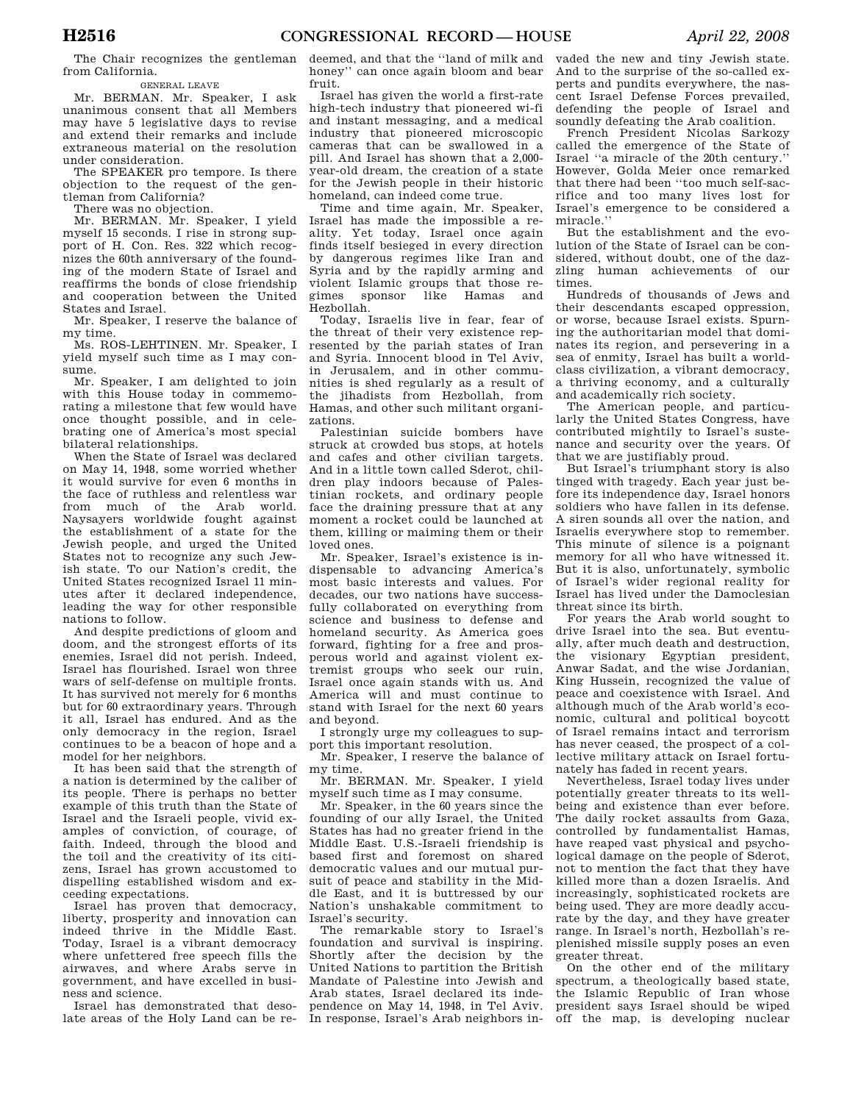The Chair recognizes the gentleman from California.

GENERAL LEAVE

Mr. BERMAN. Mr. Speaker, I ask unanimous consent that all Members may have 5 legislative days to revise and extend their remarks and include extraneous material on the resolution under consideration.

The SPEAKER pro tempore. Is there objection to the request of the gentleman from California?

There was no objection.

Mr. BERMAN. Mr. Speaker, I yield myself 15 seconds. I rise in strong support of H. Con. Res. 322 which recognizes the 60th anniversary of the founding of the modern State of Israel and reaffirms the bonds of close friendship and cooperation between the United States and Israel.

Mr. Speaker, I reserve the balance of my time.

Ms. ROS-LEHTINEN. Mr. Speaker, I yield myself such time as I may consume.

Mr. Speaker, I am delighted to join with this House today in commemorating a milestone that few would have once thought possible, and in celebrating one of America's most special bilateral relationships.

When the State of Israel was declared on May 14, 1948, some worried whether it would survive for even 6 months in the face of ruthless and relentless war from much of the Arab world. Naysayers worldwide fought against the establishment of a state for the Jewish people, and urged the United States not to recognize any such Jewish state. To our Nation's credit, the United States recognized Israel 11 minutes after it declared independence, leading the way for other responsible nations to follow.

And despite predictions of gloom and doom, and the strongest efforts of its enemies, Israel did not perish. Indeed, Israel has flourished. Israel won three wars of self-defense on multiple fronts. It has survived not merely for 6 months but for 60 extraordinary years. Through it all, Israel has endured. And as the only democracy in the region, Israel continues to be a beacon of hope and a model for her neighbors.

It has been said that the strength of a nation is determined by the caliber of its people. There is perhaps no better example of this truth than the State of Israel and the Israeli people, vivid examples of conviction, of courage, of faith. Indeed, through the blood and the toil and the creativity of its citizens, Israel has grown accustomed to dispelling established wisdom and exceeding expectations.

Israel has proven that democracy, liberty, prosperity and innovation can indeed thrive in the Middle East. Today, Israel is a vibrant democracy where unfettered free speech fills the airwaves, and where Arabs serve in government, and have excelled in business and science.

Israel has demonstrated that desolate areas of the Holy Land can be redeemed, and that the ''land of milk and honey'' can once again bloom and bear fruit.

Israel has given the world a first-rate high-tech industry that pioneered wi-fi and instant messaging, and a medical industry that pioneered microscopic cameras that can be swallowed in a pill. And Israel has shown that a 2,000 year-old dream, the creation of a state for the Jewish people in their historic homeland, can indeed come true.

Time and time again, Mr. Speaker, Israel has made the impossible a reality. Yet today, Israel once again finds itself besieged in every direction by dangerous regimes like Iran and Syria and by the rapidly arming and violent Islamic groups that those regimes sponsor like Hamas and Hezbollah.

Today, Israelis live in fear, fear of the threat of their very existence represented by the pariah states of Iran and Syria. Innocent blood in Tel Aviv, in Jerusalem, and in other communities is shed regularly as a result of the jihadists from Hezbollah, from Hamas, and other such militant organizations.

Palestinian suicide bombers have struck at crowded bus stops, at hotels and cafes and other civilian targets. And in a little town called Sderot, children play indoors because of Palestinian rockets, and ordinary people face the draining pressure that at any moment a rocket could be launched at them, killing or maiming them or their loved ones.

Mr. Speaker, Israel's existence is indispensable to advancing America's most basic interests and values. For decades, our two nations have successfully collaborated on everything from science and business to defense and homeland security. As America goes forward, fighting for a free and prosperous world and against violent extremist groups who seek our ruin, Israel once again stands with us. And America will and must continue to stand with Israel for the next 60 years and beyond.

I strongly urge my colleagues to support this important resolution.

Mr. Speaker, I reserve the balance of my time.

Mr. BERMAN. Mr. Speaker, I yield myself such time as I may consume.

Mr. Speaker, in the 60 years since the founding of our ally Israel, the United States has had no greater friend in the Middle East. U.S.-Israeli friendship is based first and foremost on shared democratic values and our mutual pursuit of peace and stability in the Middle East, and it is buttressed by our Nation's unshakable commitment to Israel's security.

The remarkable story to Israel's foundation and survival is inspiring. Shortly after the decision by the United Nations to partition the British Mandate of Palestine into Jewish and Arab states, Israel declared its independence on May 14, 1948, in Tel Aviv. In response, Israel's Arab neighbors in-

vaded the new and tiny Jewish state. And to the surprise of the so-called experts and pundits everywhere, the nascent Israel Defense Forces prevailed, defending the people of Israel and soundly defeating the Arab coalition.

French President Nicolas Sarkozy called the emergence of the State of Israel ''a miracle of the 20th century.'' However, Golda Meier once remarked that there had been ''too much self-sacrifice and too many lives lost for Israel's emergence to be considered a miracle.''

But the establishment and the evolution of the State of Israel can be considered, without doubt, one of the dazzling human achievements of our times.

Hundreds of thousands of Jews and their descendants escaped oppression, or worse, because Israel exists. Spurning the authoritarian model that dominates its region, and persevering in a sea of enmity, Israel has built a worldclass civilization, a vibrant democracy, a thriving economy, and a culturally and academically rich society.

The American people, and particularly the United States Congress, have contributed mightily to Israel's sustenance and security over the years. Of that we are justifiably proud.

But Israel's triumphant story is also tinged with tragedy. Each year just before its independence day, Israel honors soldiers who have fallen in its defense. A siren sounds all over the nation, and Israelis everywhere stop to remember. This minute of silence is a poignant memory for all who have witnessed it. But it is also, unfortunately, symbolic of Israel's wider regional reality for Israel has lived under the Damoclesian threat since its birth.

For years the Arab world sought to drive Israel into the sea. But eventually, after much death and destruction, the visionary Egyptian president, Anwar Sadat, and the wise Jordanian, King Hussein, recognized the value of peace and coexistence with Israel. And although much of the Arab world's economic, cultural and political boycott of Israel remains intact and terrorism has never ceased, the prospect of a collective military attack on Israel fortunately has faded in recent years.

Nevertheless, Israel today lives under potentially greater threats to its wellbeing and existence than ever before. The daily rocket assaults from Gaza, controlled by fundamentalist Hamas, have reaped vast physical and psychological damage on the people of Sderot, not to mention the fact that they have killed more than a dozen Israelis. And increasingly, sophisticated rockets are being used. They are more deadly accurate by the day, and they have greater range. In Israel's north, Hezbollah's replenished missile supply poses an even greater threat.

On the other end of the military spectrum, a theologically based state, the Islamic Republic of Iran whose president says Israel should be wiped off the map, is developing nuclear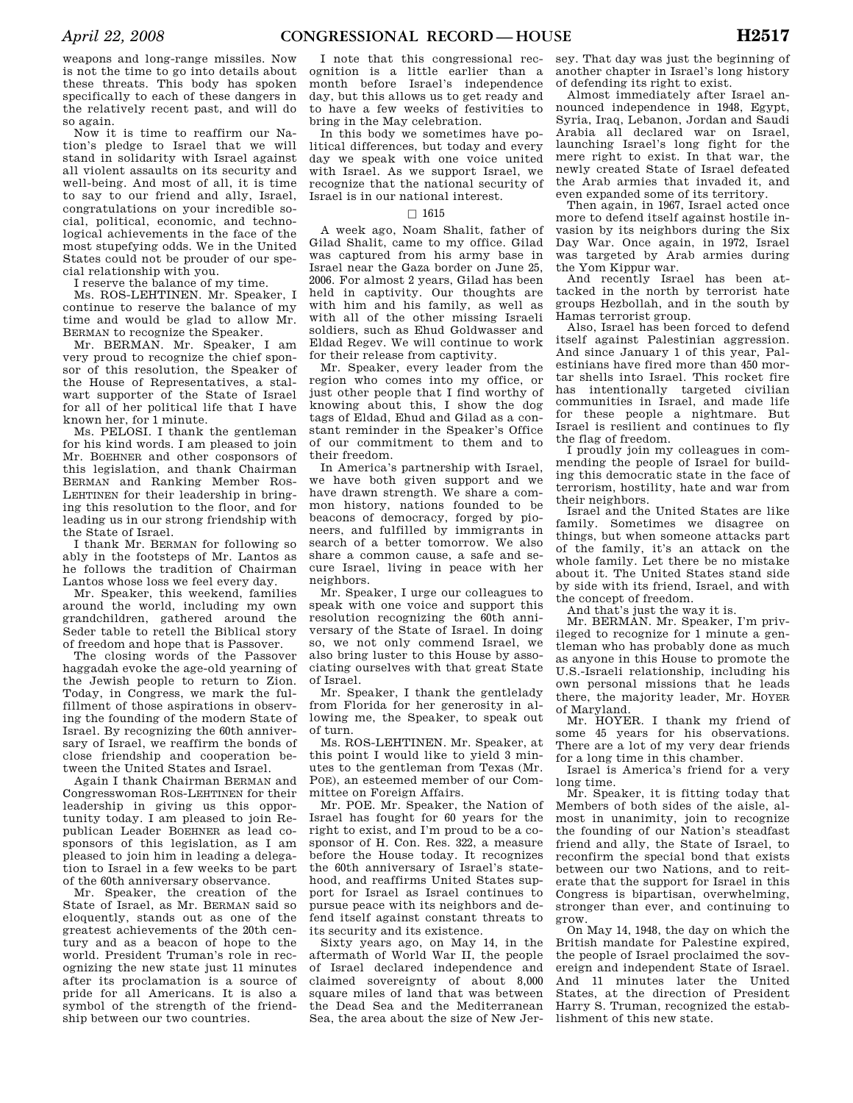weapons and long-range missiles. Now is not the time to go into details about these threats. This body has spoken specifically to each of these dangers in the relatively recent past, and will do so again.

Now it is time to reaffirm our Nation's pledge to Israel that we will stand in solidarity with Israel against all violent assaults on its security and well-being. And most of all, it is time to say to our friend and ally, Israel, congratulations on your incredible social, political, economic, and technological achievements in the face of the most stupefying odds. We in the United States could not be prouder of our special relationship with you.

I reserve the balance of my time.

Ms. ROS-LEHTINEN. Mr. Speaker, I continue to reserve the balance of my time and would be glad to allow Mr. BERMAN to recognize the Speaker.

Mr. BERMAN. Mr. Speaker, I am very proud to recognize the chief sponsor of this resolution, the Speaker of the House of Representatives, a stalwart supporter of the State of Israel for all of her political life that I have known her, for 1 minute.

Ms. PELOSI. I thank the gentleman for his kind words. I am pleased to join Mr. BOEHNER and other cosponsors of this legislation, and thank Chairman BERMAN and Ranking Member ROS-LEHTINEN for their leadership in bringing this resolution to the floor, and for leading us in our strong friendship with the State of Israel.

I thank Mr. BERMAN for following so ably in the footsteps of Mr. Lantos as he follows the tradition of Chairman Lantos whose loss we feel every day.

Mr. Speaker, this weekend, families around the world, including my own grandchildren, gathered around the Seder table to retell the Biblical story of freedom and hope that is Passover.

The closing words of the Passover haggadah evoke the age-old yearning of the Jewish people to return to Zion. Today, in Congress, we mark the fulfillment of those aspirations in observing the founding of the modern State of Israel. By recognizing the 60th anniversary of Israel, we reaffirm the bonds of close friendship and cooperation between the United States and Israel.

Again I thank Chairman BERMAN and Congresswoman ROS-LEHTINEN for their leadership in giving us this opportunity today. I am pleased to join Republican Leader BOEHNER as lead cosponsors of this legislation, as I am pleased to join him in leading a delegation to Israel in a few weeks to be part of the 60th anniversary observance.

Mr. Speaker, the creation of the State of Israel, as Mr. BERMAN said so eloquently, stands out as one of the greatest achievements of the 20th century and as a beacon of hope to the world. President Truman's role in recognizing the new state just 11 minutes after its proclamation is a source of pride for all Americans. It is also a symbol of the strength of the friendship between our two countries.

I note that this congressional recognition is a little earlier than a month before Israel's independence day, but this allows us to get ready and to have a few weeks of festivities to bring in the May celebration.

In this body we sometimes have political differences, but today and every day we speak with one voice united with Israel. As we support Israel, we recognize that the national security of Israel is in our national interest.

# $\Box$  1615

A week ago, Noam Shalit, father of Gilad Shalit, came to my office. Gilad was captured from his army base in Israel near the Gaza border on June 25, 2006. For almost 2 years, Gilad has been held in captivity. Our thoughts are with him and his family, as well as with all of the other missing Israeli soldiers, such as Ehud Goldwasser and Eldad Regev. We will continue to work for their release from captivity.

Mr. Speaker, every leader from the region who comes into my office, or just other people that I find worthy of knowing about this, I show the dog tags of Eldad, Ehud and Gilad as a constant reminder in the Speaker's Office of our commitment to them and to their freedom.

In America's partnership with Israel, we have both given support and we have drawn strength. We share a common history, nations founded to be beacons of democracy, forged by pioneers, and fulfilled by immigrants in search of a better tomorrow. We also share a common cause, a safe and secure Israel, living in peace with her neighbors.

Mr. Speaker, I urge our colleagues to speak with one voice and support this resolution recognizing the 60th anniversary of the State of Israel. In doing so, we not only commend Israel, we also bring luster to this House by associating ourselves with that great State of Israel.

Mr. Speaker, I thank the gentlelady from Florida for her generosity in allowing me, the Speaker, to speak out of turn.

Ms. ROS-LEHTINEN. Mr. Speaker, at this point I would like to yield 3 minutes to the gentleman from Texas (Mr. POE), an esteemed member of our Committee on Foreign Affairs.

Mr. POE. Mr. Speaker, the Nation of Israel has fought for 60 years for the right to exist, and I'm proud to be a cosponsor of H. Con. Res. 322, a measure before the House today. It recognizes the 60th anniversary of Israel's statehood, and reaffirms United States support for Israel as Israel continues to pursue peace with its neighbors and defend itself against constant threats to its security and its existence.

Sixty years ago, on May 14, in the aftermath of World War II, the people of Israel declared independence and claimed sovereignty of about 8,000 square miles of land that was between the Dead Sea and the Mediterranean Sea, the area about the size of New Jer-

sey. That day was just the beginning of another chapter in Israel's long history of defending its right to exist.

Almost immediately after Israel announced independence in 1948, Egypt, Syria, Iraq, Lebanon, Jordan and Saudi Arabia all declared war on Israel, launching Israel's long fight for the mere right to exist. In that war, the newly created State of Israel defeated the Arab armies that invaded it, and even expanded some of its territory.

Then again, in 1967, Israel acted once more to defend itself against hostile invasion by its neighbors during the Six Day War. Once again, in 1972, Israel was targeted by Arab armies during the Yom Kippur war.

And recently Israel has been attacked in the north by terrorist hate groups Hezbollah, and in the south by Hamas terrorist group.

Also, Israel has been forced to defend itself against Palestinian aggression. And since January 1 of this year, Palestinians have fired more than 450 mortar shells into Israel. This rocket fire has intentionally targeted civilian communities in Israel, and made life for these people a nightmare. But Israel is resilient and continues to fly the flag of freedom.

I proudly join my colleagues in commending the people of Israel for building this democratic state in the face of terrorism, hostility, hate and war from their neighbors.

Israel and the United States are like family. Sometimes we disagree on things, but when someone attacks part of the family, it's an attack on the whole family. Let there be no mistake about it. The United States stand side by side with its friend, Israel, and with the concept of freedom.

And that's just the way it is.

Mr. BERMAN. Mr. Speaker, I'm privileged to recognize for 1 minute a gentleman who has probably done as much as anyone in this House to promote the U.S.-Israeli relationship, including his own personal missions that he leads there, the majority leader, Mr. HOYER of Maryland.

Mr. HOYER. I thank my friend of some 45 years for his observations. There are a lot of my very dear friends for a long time in this chamber.

Israel is America's friend for a very long time.

Mr. Speaker, it is fitting today that Members of both sides of the aisle, almost in unanimity, join to recognize the founding of our Nation's steadfast friend and ally, the State of Israel, to reconfirm the special bond that exists between our two Nations, and to reiterate that the support for Israel in this Congress is bipartisan, overwhelming, stronger than ever, and continuing to grow.

On May 14, 1948, the day on which the British mandate for Palestine expired, the people of Israel proclaimed the sovereign and independent State of Israel. And 11 minutes later the United States, at the direction of President Harry S. Truman, recognized the establishment of this new state.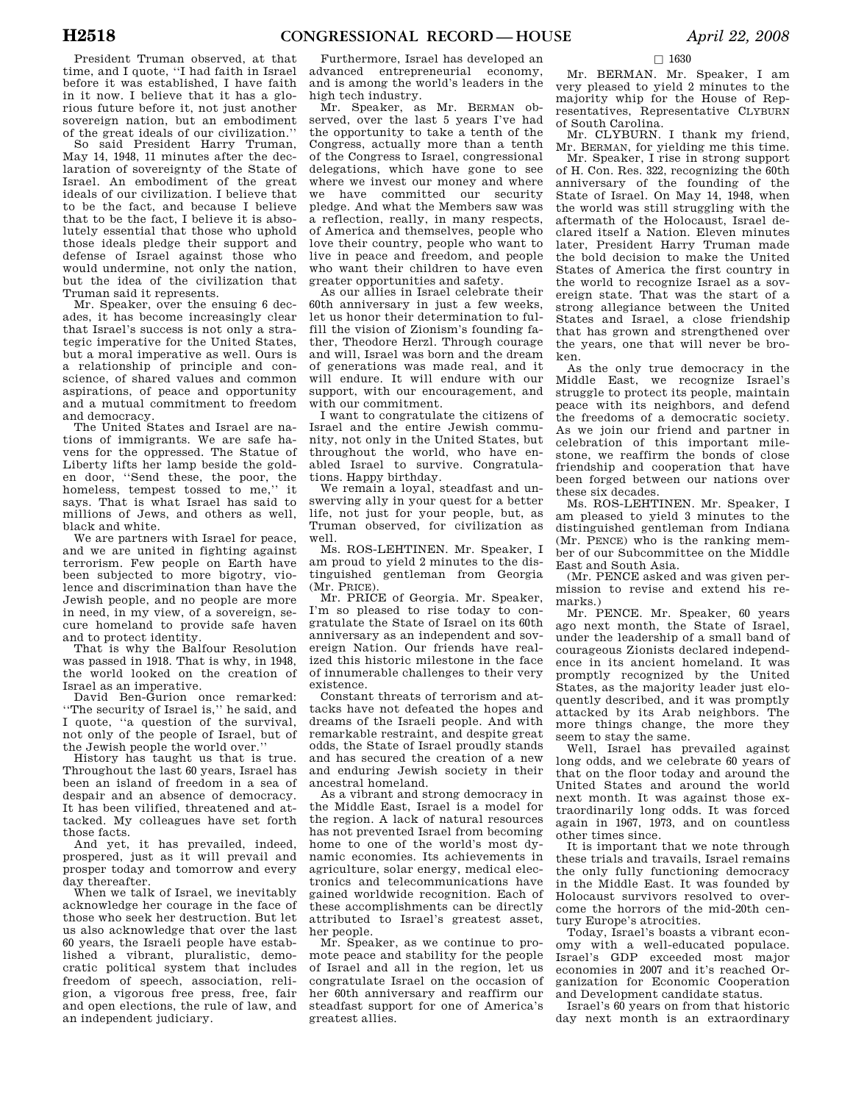President Truman observed, at that time, and I quote, ''I had faith in Israel before it was established, I have faith in it now. I believe that it has a glorious future before it, not just another sovereign nation, but an embodiment of the great ideals of our civilization.''

So said President Harry Truman, May 14, 1948, 11 minutes after the declaration of sovereignty of the State of Israel. An embodiment of the great ideals of our civilization. I believe that to be the fact, and because I believe that to be the fact, I believe it is absolutely essential that those who uphold those ideals pledge their support and defense of Israel against those who would undermine, not only the nation, but the idea of the civilization that Truman said it represents.

Mr. Speaker, over the ensuing 6 decades, it has become increasingly clear that Israel's success is not only a strategic imperative for the United States, but a moral imperative as well. Ours is a relationship of principle and conscience, of shared values and common aspirations, of peace and opportunity and a mutual commitment to freedom and democracy.

The United States and Israel are nations of immigrants. We are safe havens for the oppressed. The Statue of Liberty lifts her lamp beside the golden door, ''Send these, the poor, the homeless, tempest tossed to me,'' it says. That is what Israel has said to millions of Jews, and others as well, black and white.

We are partners with Israel for peace, and we are united in fighting against terrorism. Few people on Earth have been subjected to more bigotry, violence and discrimination than have the Jewish people, and no people are more in need, in my view, of a sovereign, secure homeland to provide safe haven and to protect identity.

That is why the Balfour Resolution was passed in 1918. That is why, in 1948, the world looked on the creation of Israel as an imperative.

David Ben-Gurion once remarked: ''The security of Israel is,'' he said, and I quote, ''a question of the survival, not only of the people of Israel, but of the Jewish people the world over.''

History has taught us that is true. Throughout the last 60 years, Israel has been an island of freedom in a sea of despair and an absence of democracy. It has been vilified, threatened and attacked. My colleagues have set forth those facts.

And yet, it has prevailed, indeed, prospered, just as it will prevail and prosper today and tomorrow and every day thereafter.

When we talk of Israel, we inevitably acknowledge her courage in the face of those who seek her destruction. But let us also acknowledge that over the last 60 years, the Israeli people have established a vibrant, pluralistic, democratic political system that includes freedom of speech, association, religion, a vigorous free press, free, fair and open elections, the rule of law, and an independent judiciary.

Furthermore, Israel has developed an advanced entrepreneurial economy, and is among the world's leaders in the high tech industry.

Mr. Speaker, as Mr. BERMAN observed, over the last 5 years I've had the opportunity to take a tenth of the Congress, actually more than a tenth of the Congress to Israel, congressional delegations, which have gone to see where we invest our money and where we have committed our security pledge. And what the Members saw was a reflection, really, in many respects, of America and themselves, people who love their country, people who want to live in peace and freedom, and people who want their children to have even greater opportunities and safety.

As our allies in Israel celebrate their 60th anniversary in just a few weeks, let us honor their determination to fulfill the vision of Zionism's founding father, Theodore Herzl. Through courage and will, Israel was born and the dream of generations was made real, and it will endure. It will endure with our support, with our encouragement, and with our commitment.

I want to congratulate the citizens of Israel and the entire Jewish community, not only in the United States, but throughout the world, who have enabled Israel to survive. Congratulations. Happy birthday.

We remain a loyal, steadfast and unswerving ally in your quest for a better life, not just for your people, but, as Truman observed, for civilization as well.

Ms. ROS-LEHTINEN. Mr. Speaker, I am proud to yield 2 minutes to the distinguished gentleman from Georgia (Mr. PRICE).

Mr. PRICE of Georgia. Mr. Speaker, I'm so pleased to rise today to congratulate the State of Israel on its 60th anniversary as an independent and sovereign Nation. Our friends have realized this historic milestone in the face of innumerable challenges to their very existence.

Constant threats of terrorism and attacks have not defeated the hopes and dreams of the Israeli people. And with remarkable restraint, and despite great odds, the State of Israel proudly stands and has secured the creation of a new and enduring Jewish society in their ancestral homeland.

As a vibrant and strong democracy in the Middle East, Israel is a model for the region. A lack of natural resources has not prevented Israel from becoming home to one of the world's most dynamic economies. Its achievements in agriculture, solar energy, medical electronics and telecommunications have gained worldwide recognition. Each of these accomplishments can be directly attributed to Israel's greatest asset, her people.

Mr. Speaker, as we continue to promote peace and stability for the people of Israel and all in the region, let us congratulate Israel on the occasion of her 60th anniversary and reaffirm our steadfast support for one of America's greatest allies.

Mr. BERMAN. Mr. Speaker, I am very pleased to yield 2 minutes to the majority whip for the House of Representatives, Representative CLYBURN of South Carolina.

 $\square$  1630

Mr. CLYBURN. I thank my friend, Mr. BERMAN, for yielding me this time.

Mr. Speaker, I rise in strong support of H. Con. Res. 322, recognizing the 60th anniversary of the founding of the State of Israel. On May 14, 1948, when the world was still struggling with the aftermath of the Holocaust, Israel declared itself a Nation. Eleven minutes later, President Harry Truman made the bold decision to make the United States of America the first country in the world to recognize Israel as a sovereign state. That was the start of a strong allegiance between the United States and Israel, a close friendship that has grown and strengthened over the years, one that will never be broken.

As the only true democracy in the Middle East, we recognize Israel's struggle to protect its people, maintain peace with its neighbors, and defend the freedoms of a democratic society. As we join our friend and partner in celebration of this important milestone, we reaffirm the bonds of close friendship and cooperation that have been forged between our nations over these six decades.

Ms. ROS-LEHTINEN. Mr. Speaker, I am pleased to yield 3 minutes to the distinguished gentleman from Indiana (Mr. PENCE) who is the ranking member of our Subcommittee on the Middle East and South Asia.

(Mr. PENCE asked and was given permission to revise and extend his remarks.)

Mr. PENCE. Mr. Speaker, 60 years ago next month, the State of Israel, under the leadership of a small band of courageous Zionists declared independence in its ancient homeland. It was promptly recognized by the United States, as the majority leader just eloquently described, and it was promptly attacked by its Arab neighbors. The more things change, the more they seem to stay the same.

Well, Israel has prevailed against long odds, and we celebrate 60 years of that on the floor today and around the United States and around the world next month. It was against those extraordinarily long odds. It was forced again in 1967, 1973, and on countless other times since.

It is important that we note through these trials and travails, Israel remains the only fully functioning democracy in the Middle East. It was founded by Holocaust survivors resolved to overcome the horrors of the mid-20th century Europe's atrocities.

Today, Israel's boasts a vibrant economy with a well-educated populace. Israel's GDP exceeded most major economies in 2007 and it's reached Organization for Economic Cooperation and Development candidate status.

Israel's 60 years on from that historic day next month is an extraordinary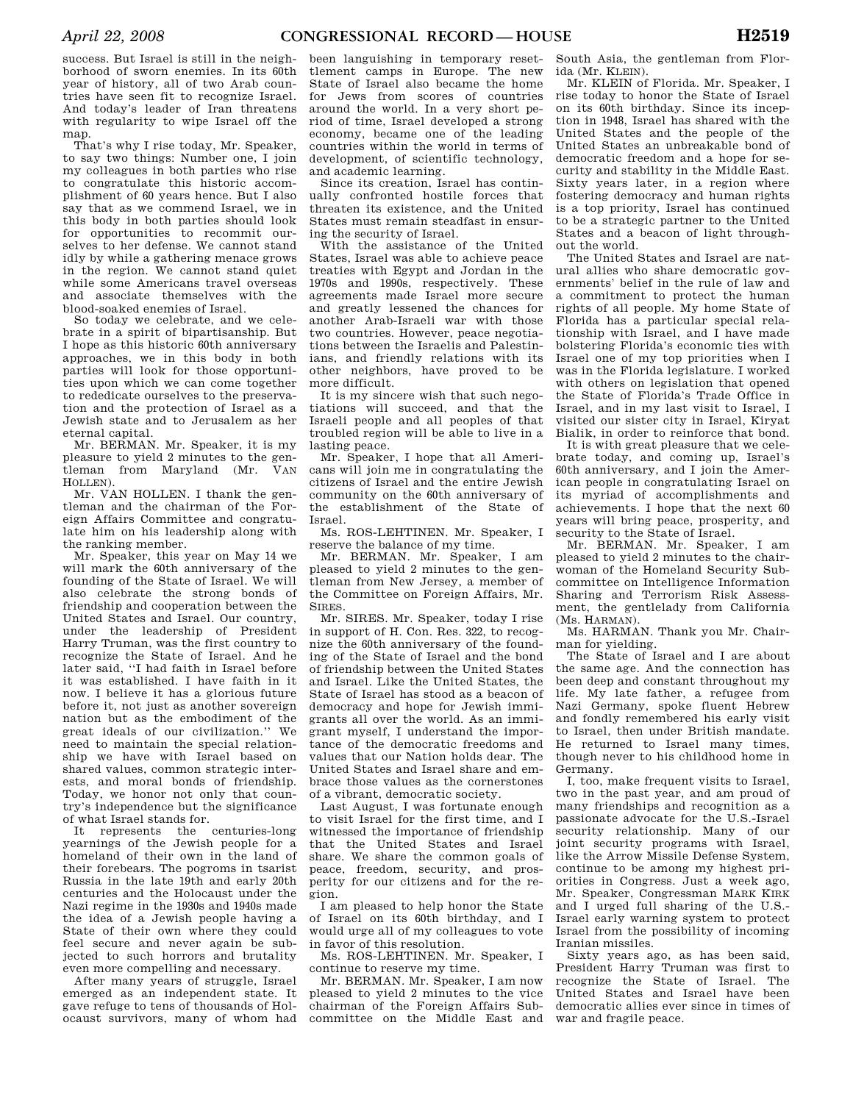success. But Israel is still in the neighborhood of sworn enemies. In its 60th year of history, all of two Arab countries have seen fit to recognize Israel. And today's leader of Iran threatens with regularity to wipe Israel off the map.

That's why I rise today, Mr. Speaker, to say two things: Number one, I join my colleagues in both parties who rise to congratulate this historic accomplishment of 60 years hence. But I also say that as we commend Israel, we in this body in both parties should look for opportunities to recommit ourselves to her defense. We cannot stand idly by while a gathering menace grows in the region. We cannot stand quiet while some Americans travel overseas and associate themselves with the blood-soaked enemies of Israel.

So today we celebrate, and we celebrate in a spirit of bipartisanship. But I hope as this historic 60th anniversary approaches, we in this body in both parties will look for those opportunities upon which we can come together to rededicate ourselves to the preservation and the protection of Israel as a Jewish state and to Jerusalem as her eternal capital.

Mr. BERMAN. Mr. Speaker, it is my pleasure to yield 2 minutes to the gentleman from Maryland (Mr. VAN HOLLEN).

Mr. VAN HOLLEN. I thank the gentleman and the chairman of the Foreign Affairs Committee and congratulate him on his leadership along with the ranking member.

Mr. Speaker, this year on May 14 we will mark the 60th anniversary of the founding of the State of Israel. We will also celebrate the strong bonds of friendship and cooperation between the United States and Israel. Our country, under the leadership of President Harry Truman, was the first country to recognize the State of Israel. And he later said, ''I had faith in Israel before it was established. I have faith in it now. I believe it has a glorious future before it, not just as another sovereign nation but as the embodiment of the great ideals of our civilization.'' We need to maintain the special relationship we have with Israel based on shared values, common strategic interests, and moral bonds of friendship. Today, we honor not only that country's independence but the significance of what Israel stands for.

It represents the centuries-long yearnings of the Jewish people for a homeland of their own in the land of their forebears. The pogroms in tsarist Russia in the late 19th and early 20th centuries and the Holocaust under the Nazi regime in the 1930s and 1940s made the idea of a Jewish people having a State of their own where they could feel secure and never again be subjected to such horrors and brutality even more compelling and necessary.

After many years of struggle, Israel emerged as an independent state. It gave refuge to tens of thousands of Holocaust survivors, many of whom had

been languishing in temporary resettlement camps in Europe. The new State of Israel also became the home for Jews from scores of countries around the world. In a very short period of time, Israel developed a strong economy, became one of the leading countries within the world in terms of development, of scientific technology, and academic learning.

Since its creation, Israel has continually confronted hostile forces that threaten its existence, and the United States must remain steadfast in ensuring the security of Israel.

With the assistance of the United States, Israel was able to achieve peace treaties with Egypt and Jordan in the 1970s and 1990s, respectively. These agreements made Israel more secure and greatly lessened the chances for another Arab-Israeli war with those two countries. However, peace negotiations between the Israelis and Palestinians, and friendly relations with its other neighbors, have proved to be more difficult.

It is my sincere wish that such negotiations will succeed, and that the Israeli people and all peoples of that troubled region will be able to live in a lasting peace.

Mr. Speaker, I hope that all Americans will join me in congratulating the citizens of Israel and the entire Jewish community on the 60th anniversary of the establishment of the State of Israel.

Ms. ROS-LEHTINEN. Mr. Speaker, I reserve the balance of my time.

Mr. BERMAN. Mr. Speaker, I am pleased to yield 2 minutes to the gentleman from New Jersey, a member of the Committee on Foreign Affairs, Mr. SIRES.

Mr. SIRES. Mr. Speaker, today I rise in support of H. Con. Res. 322, to recognize the 60th anniversary of the founding of the State of Israel and the bond of friendship between the United States and Israel. Like the United States, the State of Israel has stood as a beacon of democracy and hope for Jewish immigrants all over the world. As an immigrant myself, I understand the importance of the democratic freedoms and values that our Nation holds dear. The United States and Israel share and embrace those values as the cornerstones of a vibrant, democratic society.

Last August, I was fortunate enough to visit Israel for the first time, and I witnessed the importance of friendship that the United States and Israel share. We share the common goals of peace, freedom, security, and prosperity for our citizens and for the region.

I am pleased to help honor the State of Israel on its 60th birthday, and I would urge all of my colleagues to vote in favor of this resolution.

Ms. ROS-LEHTINEN. Mr. Speaker, I continue to reserve my time.

Mr. BERMAN. Mr. Speaker, I am now pleased to yield 2 minutes to the vice chairman of the Foreign Affairs Subcommittee on the Middle East and

South Asia, the gentleman from Florida (Mr. KLEIN).

Mr. KLEIN of Florida. Mr. Speaker, I rise today to honor the State of Israel on its 60th birthday. Since its inception in 1948, Israel has shared with the United States and the people of the United States an unbreakable bond of democratic freedom and a hope for security and stability in the Middle East. Sixty years later, in a region where fostering democracy and human rights is a top priority, Israel has continued to be a strategic partner to the United States and a beacon of light throughout the world.

The United States and Israel are natural allies who share democratic governments' belief in the rule of law and a commitment to protect the human rights of all people. My home State of Florida has a particular special relationship with Israel, and I have made bolstering Florida's economic ties with Israel one of my top priorities when I was in the Florida legislature. I worked with others on legislation that opened the State of Florida's Trade Office in Israel, and in my last visit to Israel, I visited our sister city in Israel, Kiryat Bialik, in order to reinforce that bond.

It is with great pleasure that we celebrate today, and coming up, Israel's 60th anniversary, and I join the American people in congratulating Israel on its myriad of accomplishments and achievements. I hope that the next 60 years will bring peace, prosperity, and security to the State of Israel.

Mr. BERMAN. Mr. Speaker, I am pleased to yield 2 minutes to the chairwoman of the Homeland Security Subcommittee on Intelligence Information Sharing and Terrorism Risk Assessment, the gentlelady from California (Ms. HARMAN).

Ms. HARMAN. Thank you Mr. Chairman for yielding.

The State of Israel and I are about the same age. And the connection has been deep and constant throughout my life. My late father, a refugee from Nazi Germany, spoke fluent Hebrew and fondly remembered his early visit to Israel, then under British mandate. He returned to Israel many times, though never to his childhood home in Germany.

I, too, make frequent visits to Israel, two in the past year, and am proud of many friendships and recognition as a passionate advocate for the U.S.-Israel security relationship. Many of our joint security programs with Israel, like the Arrow Missile Defense System, continue to be among my highest priorities in Congress. Just a week ago, Mr. Speaker, Congressman MARK KIRK and I urged full sharing of the U.S.- Israel early warning system to protect Israel from the possibility of incoming Iranian missiles.

Sixty years ago, as has been said, President Harry Truman was first to recognize the State of Israel. The United States and Israel have been democratic allies ever since in times of war and fragile peace.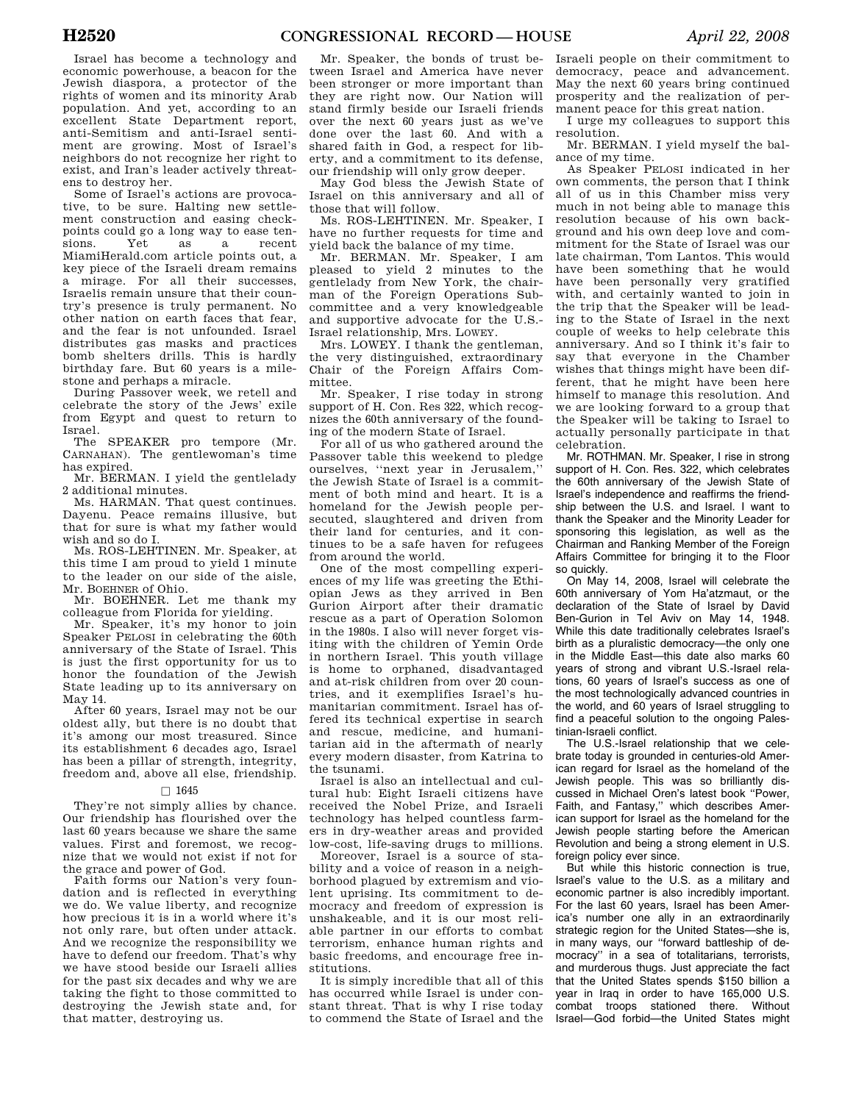Israel has become a technology and economic powerhouse, a beacon for the Jewish diaspora, a protector of the rights of women and its minority Arab population. And yet, according to an excellent State Department report, anti-Semitism and anti-Israel sentiment are growing. Most of Israel's neighbors do not recognize her right to exist, and Iran's leader actively threatens to destroy her.

Some of Israel's actions are provocative, to be sure. Halting new settlement construction and easing checkpoints could go a long way to ease ten-<br>sions. <br>  $Y$  et as a recent sions. Yet as a recent MiamiHerald.com article points out, a key piece of the Israeli dream remains a mirage. For all their successes, Israelis remain unsure that their country's presence is truly permanent. No other nation on earth faces that fear, and the fear is not unfounded. Israel distributes gas masks and practices bomb shelters drills. This is hardly birthday fare. But 60 years is a milestone and perhaps a miracle.

During Passover week, we retell and celebrate the story of the Jews' exile from Egypt and quest to return to Israel.

The SPEAKER pro tempore (Mr. CARNAHAN). The gentlewoman's time has expired.

Mr. BERMAN. I yield the gentlelady 2 additional minutes.

Ms. HARMAN. That quest continues. Dayenu. Peace remains illusive, but that for sure is what my father would wish and so do I.

Ms. ROS-LEHTINEN. Mr. Speaker, at this time I am proud to yield 1 minute to the leader on our side of the aisle, Mr. BOEHNER of Ohio.

Mr. BOEHNER. Let me thank my colleague from Florida for yielding.

Mr. Speaker, it's my honor to join Speaker PELOSI in celebrating the 60th anniversary of the State of Israel. This is just the first opportunity for us to honor the foundation of the Jewish State leading up to its anniversary on May 14.

After 60 years, Israel may not be our oldest ally, but there is no doubt that it's among our most treasured. Since its establishment 6 decades ago, Israel has been a pillar of strength, integrity, freedom and, above all else, friendship.

### $\square$  1645

They're not simply allies by chance. Our friendship has flourished over the last 60 years because we share the same values. First and foremost, we recognize that we would not exist if not for the grace and power of God.

Faith forms our Nation's very foundation and is reflected in everything we do. We value liberty, and recognize how precious it is in a world where it's not only rare, but often under attack. And we recognize the responsibility we have to defend our freedom. That's why we have stood beside our Israeli allies for the past six decades and why we are taking the fight to those committed to destroying the Jewish state and, for that matter, destroying us.

Mr. Speaker, the bonds of trust between Israel and America have never been stronger or more important than they are right now. Our Nation will stand firmly beside our Israeli friends over the next 60 years just as we've done over the last 60. And with a shared faith in God, a respect for liberty, and a commitment to its defense, our friendship will only grow deeper.

May God bless the Jewish State of Israel on this anniversary and all of those that will follow.

Ms. ROS-LEHTINEN. Mr. Speaker, I have no further requests for time and yield back the balance of my time.

Mr. BERMAN. Mr. Speaker, I am pleased to yield 2 minutes to the gentlelady from New York, the chairman of the Foreign Operations Subcommittee and a very knowledgeable and supportive advocate for the U.S.- Israel relationship, Mrs. LOWEY.

Mrs. LOWEY. I thank the gentleman, the very distinguished, extraordinary Chair of the Foreign Affairs Committee.

Mr. Speaker, I rise today in strong support of H. Con. Res 322, which recognizes the 60th anniversary of the founding of the modern State of Israel.

For all of us who gathered around the Passover table this weekend to pledge ourselves, ''next year in Jerusalem,'' the Jewish State of Israel is a commitment of both mind and heart. It is a homeland for the Jewish people persecuted, slaughtered and driven from their land for centuries, and it continues to be a safe haven for refugees from around the world.

One of the most compelling experiences of my life was greeting the Ethiopian Jews as they arrived in Ben Gurion Airport after their dramatic rescue as a part of Operation Solomon in the 1980s. I also will never forget visiting with the children of Yemin Orde in northern Israel. This youth village is home to orphaned, disadvantaged and at-risk children from over 20 countries, and it exemplifies Israel's humanitarian commitment. Israel has offered its technical expertise in search and rescue, medicine, and humanitarian aid in the aftermath of nearly every modern disaster, from Katrina to the tsunami.

Israel is also an intellectual and cultural hub: Eight Israeli citizens have received the Nobel Prize, and Israeli technology has helped countless farmers in dry-weather areas and provided low-cost, life-saving drugs to millions.

Moreover, Israel is a source of stability and a voice of reason in a neighborhood plagued by extremism and violent uprising. Its commitment to democracy and freedom of expression is unshakeable, and it is our most reliable partner in our efforts to combat terrorism, enhance human rights and basic freedoms, and encourage free institutions.

It is simply incredible that all of this has occurred while Israel is under constant threat. That is why I rise today to commend the State of Israel and the

Israeli people on their commitment to democracy, peace and advancement. May the next 60 years bring continued prosperity and the realization of permanent peace for this great nation.

I urge my colleagues to support this resolution.

Mr. BERMAN. I yield myself the balance of my time.

As Speaker PELOSI indicated in her own comments, the person that I think all of us in this Chamber miss very much in not being able to manage this resolution because of his own background and his own deep love and commitment for the State of Israel was our late chairman, Tom Lantos. This would have been something that he would have been personally very gratified with, and certainly wanted to join in the trip that the Speaker will be leading to the State of Israel in the next couple of weeks to help celebrate this anniversary. And so I think it's fair to say that everyone in the Chamber wishes that things might have been different, that he might have been here himself to manage this resolution. And we are looking forward to a group that the Speaker will be taking to Israel to actually personally participate in that celebration.

Mr. ROTHMAN. Mr. Speaker, I rise in strong support of H. Con. Res. 322, which celebrates the 60th anniversary of the Jewish State of Israel's independence and reaffirms the friendship between the U.S. and Israel. I want to thank the Speaker and the Minority Leader for sponsoring this legislation, as well as the Chairman and Ranking Member of the Foreign Affairs Committee for bringing it to the Floor so quickly.

On May 14, 2008, Israel will celebrate the 60th anniversary of Yom Ha'atzmaut, or the declaration of the State of Israel by David Ben-Gurion in Tel Aviv on May 14, 1948. While this date traditionally celebrates Israel's birth as a pluralistic democracy—the only one in the Middle East—this date also marks 60 years of strong and vibrant U.S.-Israel relations, 60 years of Israel's success as one of the most technologically advanced countries in the world, and 60 years of Israel struggling to find a peaceful solution to the ongoing Palestinian-Israeli conflict.

The U.S.-Israel relationship that we celebrate today is grounded in centuries-old American regard for Israel as the homeland of the Jewish people. This was so brilliantly discussed in Michael Oren's latest book ''Power, Faith, and Fantasy," which describes American support for Israel as the homeland for the Jewish people starting before the American Revolution and being a strong element in U.S. foreign policy ever since.

But while this historic connection is true, Israel's value to the U.S. as a military and economic partner is also incredibly important. For the last 60 years, Israel has been America's number one ally in an extraordinarily strategic region for the United States—she is, in many ways, our ''forward battleship of democracy'' in a sea of totalitarians, terrorists, and murderous thugs. Just appreciate the fact that the United States spends \$150 billion a year in Iraq in order to have 165,000 U.S. combat troops stationed there. Without Israel—God forbid—the United States might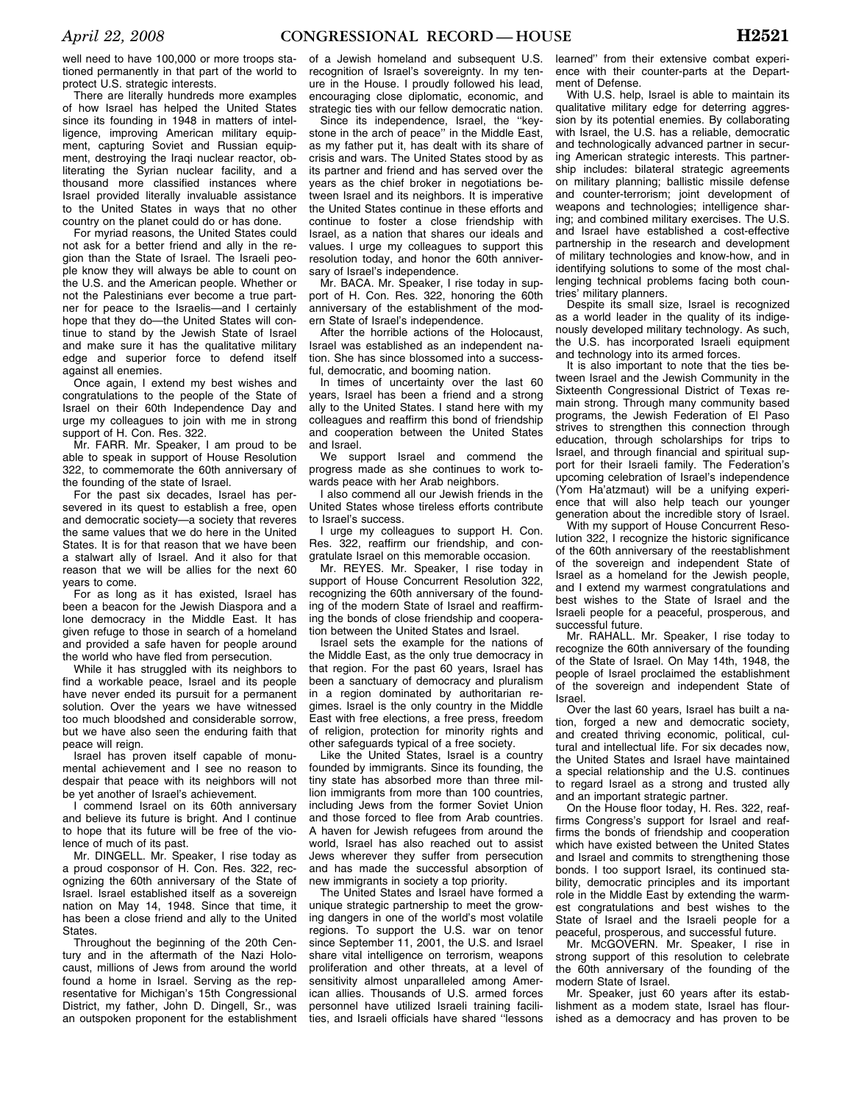well need to have 100,000 or more troops stationed permanently in that part of the world to protect U.S. strategic interests.

There are literally hundreds more examples of how Israel has helped the United States since its founding in 1948 in matters of intelligence, improving American military equipment, capturing Soviet and Russian equipment, destroying the Iraqi nuclear reactor, obliterating the Syrian nuclear facility, and a thousand more classified instances where Israel provided literally invaluable assistance to the United States in ways that no other country on the planet could do or has done.

For myriad reasons, the United States could not ask for a better friend and ally in the region than the State of Israel. The Israeli people know they will always be able to count on the U.S. and the American people. Whether or not the Palestinians ever become a true partner for peace to the Israelis—and I certainly hope that they do—the United States will continue to stand by the Jewish State of Israel and make sure it has the qualitative military edge and superior force to defend itself against all enemies.

Once again, I extend my best wishes and congratulations to the people of the State of Israel on their 60th Independence Day and urge my colleagues to join with me in strong support of H. Con. Res. 322.

Mr. FARR. Mr. Speaker, I am proud to be able to speak in support of House Resolution 322, to commemorate the 60th anniversary of the founding of the state of Israel.

For the past six decades, Israel has persevered in its quest to establish a free, open and democratic society—a society that reveres the same values that we do here in the United States. It is for that reason that we have been a stalwart ally of Israel. And it also for that reason that we will be allies for the next 60 years to come.

For as long as it has existed, Israel has been a beacon for the Jewish Diaspora and a lone democracy in the Middle East. It has given refuge to those in search of a homeland and provided a safe haven for people around the world who have fled from persecution.

While it has struggled with its neighbors to find a workable peace, Israel and its people have never ended its pursuit for a permanent solution. Over the years we have witnessed too much bloodshed and considerable sorrow, but we have also seen the enduring faith that peace will reign.

Israel has proven itself capable of monumental achievement and I see no reason to despair that peace with its neighbors will not be yet another of Israel's achievement.

I commend Israel on its 60th anniversary and believe its future is bright. And I continue to hope that its future will be free of the violence of much of its past.

Mr. DINGELL. Mr. Speaker, I rise today as a proud cosponsor of H. Con. Res. 322, recognizing the 60th anniversary of the State of Israel. Israel established itself as a sovereign nation on May 14, 1948. Since that time, it has been a close friend and ally to the United States.

Throughout the beginning of the 20th Century and in the aftermath of the Nazi Holocaust, millions of Jews from around the world found a home in Israel. Serving as the representative for Michigan's 15th Congressional District, my father, John D. Dingell, Sr., was an outspoken proponent for the establishment

of a Jewish homeland and subsequent U.S. recognition of Israel's sovereignty. In my tenure in the House. I proudly followed his lead, encouraging close diplomatic, economic, and strategic ties with our fellow democratic nation.

Since its independence, Israel, the ''keystone in the arch of peace'' in the Middle East, as my father put it, has dealt with its share of crisis and wars. The United States stood by as its partner and friend and has served over the years as the chief broker in negotiations between Israel and its neighbors. It is imperative the United States continue in these efforts and continue to foster a close friendship with Israel, as a nation that shares our ideals and values. I urge my colleagues to support this resolution today, and honor the 60th anniversary of Israel's independence.

Mr. BACA. Mr. Speaker, I rise today in support of H. Con. Res. 322, honoring the 60th anniversary of the establishment of the modern State of Israel's independence.

After the horrible actions of the Holocaust, Israel was established as an independent nation. She has since blossomed into a successful, democratic, and booming nation.

In times of uncertainty over the last 60 years, Israel has been a friend and a strong ally to the United States. I stand here with my colleagues and reaffirm this bond of friendship and cooperation between the United States and Israel.

We support Israel and commend the progress made as she continues to work towards peace with her Arab neighbors.

I also commend all our Jewish friends in the United States whose tireless efforts contribute to Israel's success.

I urge my colleagues to support H. Con. Res. 322, reaffirm our friendship, and congratulate Israel on this memorable occasion.

Mr. REYES. Mr. Speaker, I rise today in support of House Concurrent Resolution 322, recognizing the 60th anniversary of the founding of the modern State of Israel and reaffirming the bonds of close friendship and cooperation between the United States and Israel.

Israel sets the example for the nations of the Middle East, as the only true democracy in that region. For the past 60 years, Israel has been a sanctuary of democracy and pluralism in a region dominated by authoritarian regimes. Israel is the only country in the Middle East with free elections, a free press, freedom of religion, protection for minority rights and other safeguards typical of a free society.

Like the United States, Israel is a country founded by immigrants. Since its founding, the tiny state has absorbed more than three million immigrants from more than 100 countries, including Jews from the former Soviet Union and those forced to flee from Arab countries. A haven for Jewish refugees from around the world, Israel has also reached out to assist Jews wherever they suffer from persecution and has made the successful absorption of new immigrants in society a top priority.

The United States and Israel have formed a unique strategic partnership to meet the growing dangers in one of the world's most volatile regions. To support the U.S. war on tenor since September 11, 2001, the U.S. and Israel share vital intelligence on terrorism, weapons proliferation and other threats, at a level of sensitivity almost unparalleled among American allies. Thousands of U.S. armed forces personnel have utilized Israeli training facilities, and Israeli officials have shared ''lessons

learned'' from their extensive combat experience with their counter-parts at the Department of Defense.

With U.S. help, Israel is able to maintain its qualitative military edge for deterring aggression by its potential enemies. By collaborating with Israel, the U.S. has a reliable, democratic and technologically advanced partner in securing American strategic interests. This partnership includes: bilateral strategic agreements on military planning; ballistic missile defense and counter-terrorism; joint development of weapons and technologies; intelligence sharing; and combined military exercises. The U.S. and Israel have established a cost-effective partnership in the research and development of military technologies and know-how, and in identifying solutions to some of the most challenging technical problems facing both countries' military planners.

Despite its small size, Israel is recognized as a world leader in the quality of its indigenously developed military technology. As such, the U.S. has incorporated Israeli equipment and technology into its armed forces.

It is also important to note that the ties between Israel and the Jewish Community in the Sixteenth Congressional District of Texas remain strong. Through many community based programs, the Jewish Federation of El Paso strives to strengthen this connection through education, through scholarships for trips to Israel, and through financial and spiritual support for their Israeli family. The Federation's upcoming celebration of Israel's independence (Yom Ha'atzmaut) will be a unifying experience that will also help teach our younger generation about the incredible story of Israel.

With my support of House Concurrent Resolution 322, I recognize the historic significance of the 60th anniversary of the reestablishment of the sovereign and independent State of Israel as a homeland for the Jewish people, and I extend my warmest congratulations and best wishes to the State of Israel and the Israeli people for a peaceful, prosperous, and successful future.

Mr. RAHALL. Mr. Speaker, I rise today to recognize the 60th anniversary of the founding of the State of Israel. On May 14th, 1948, the people of Israel proclaimed the establishment of the sovereign and independent State of Israel.

Over the last 60 years, Israel has built a nation, forged a new and democratic society, and created thriving economic, political, cultural and intellectual life. For six decades now, the United States and Israel have maintained a special relationship and the U.S. continues to regard Israel as a strong and trusted ally and an important strategic partner.

On the House floor today, H. Res. 322, reaffirms Congress's support for Israel and reaffirms the bonds of friendship and cooperation which have existed between the United States and Israel and commits to strengthening those bonds. I too support Israel, its continued stability, democratic principles and its important role in the Middle East by extending the warmest congratulations and best wishes to the State of Israel and the Israeli people for a peaceful, prosperous, and successful future.

Mr. MCGOVERN. Mr. Speaker, I rise in strong support of this resolution to celebrate the 60th anniversary of the founding of the modern State of Israel.

Mr. Speaker, just 60 years after its establishment as a modem state, Israel has flourished as a democracy and has proven to be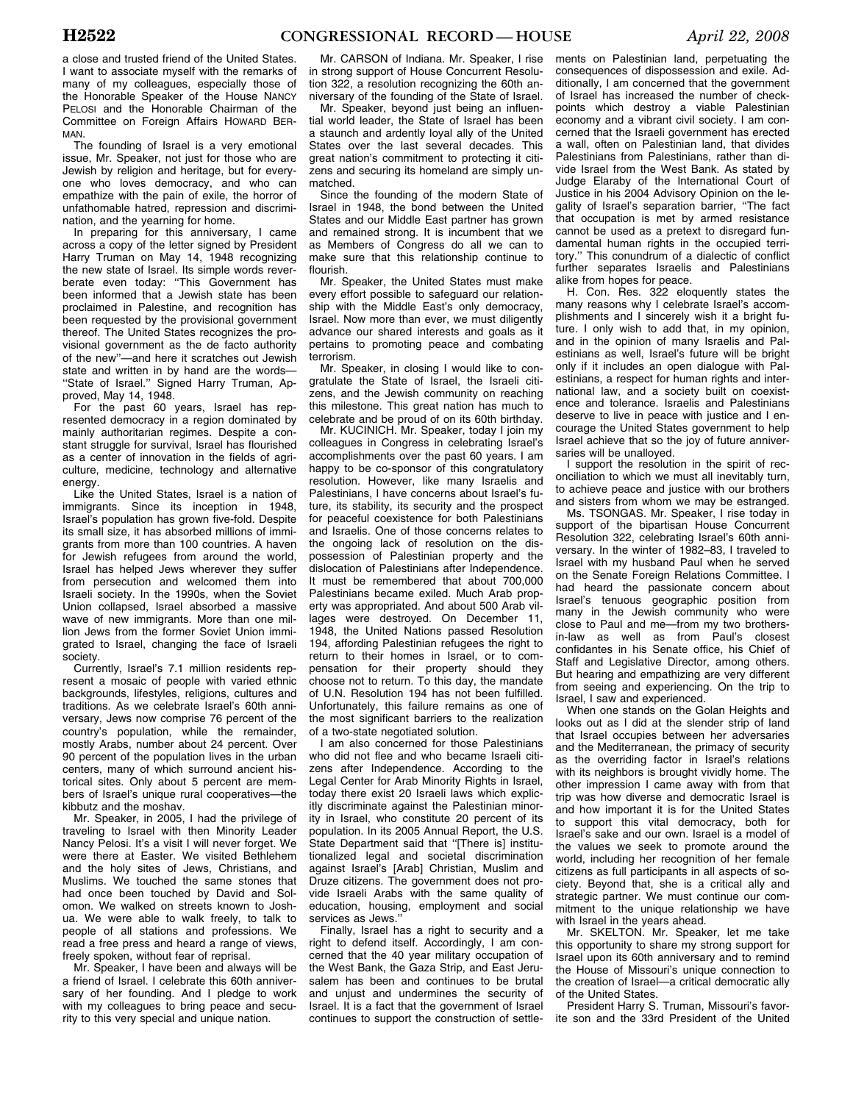a close and trusted friend of the United States. I want to associate myself with the remarks of many of my colleagues, especially those of the Honorable Speaker of the House NANCY PELOSI and the Honorable Chairman of the Committee on Foreign Affairs HOWARD BER-MAN.

The founding of Israel is a very emotional issue, Mr. Speaker, not just for those who are Jewish by religion and heritage, but for everyone who loves democracy, and who can empathize with the pain of exile, the horror of unfathomable hatred, repression and discrimination, and the yearning for home.

In preparing for this anniversary, I came across a copy of the letter signed by President Harry Truman on May 14, 1948 recognizing the new state of Israel. Its simple words reverberate even today: ''This Government has been informed that a Jewish state has been proclaimed in Palestine, and recognition has been requested by the provisional government thereof. The United States recognizes the provisional government as the de facto authority of the new''—and here it scratches out Jewish state and written in by hand are the words— ''State of Israel.'' Signed Harry Truman, Approved, May 14, 1948.

For the past 60 years, Israel has represented democracy in a region dominated by mainly authoritarian regimes. Despite a constant struggle for survival, Israel has flourished as a center of innovation in the fields of agriculture, medicine, technology and alternative energy.

Like the United States, Israel is a nation of immigrants. Since its inception in 1948, Israel's population has grown five-fold. Despite its small size, it has absorbed millions of immigrants from more than 100 countries. A haven for Jewish refugees from around the world, Israel has helped Jews wherever they suffer from persecution and welcomed them into Israeli society. In the 1990s, when the Soviet Union collapsed, Israel absorbed a massive wave of new immigrants. More than one million Jews from the former Soviet Union immigrated to Israel, changing the face of Israeli society.

Currently, Israel's 7.1 million residents represent a mosaic of people with varied ethnic backgrounds, lifestyles, religions, cultures and traditions. As we celebrate Israel's 60th anniversary, Jews now comprise 76 percent of the country's population, while the remainder, mostly Arabs, number about 24 percent. Over 90 percent of the population lives in the urban centers, many of which surround ancient historical sites. Only about 5 percent are members of Israel's unique rural cooperatives—the kibbutz and the moshav.

Mr. Speaker, in 2005, I had the privilege of traveling to Israel with then Minority Leader Nancy Pelosi. It's a visit I will never forget. We were there at Easter. We visited Bethlehem and the holy sites of Jews, Christians, and Muslims. We touched the same stones that had once been touched by David and Solomon. We walked on streets known to Joshua. We were able to walk freely, to talk to people of all stations and professions. We read a free press and heard a range of views, freely spoken, without fear of reprisal.

Mr. Speaker, I have been and always will be a friend of Israel. I celebrate this 60th anniversary of her founding. And I pledge to work with my colleagues to bring peace and security to this very special and unique nation.

Mr. CARSON of Indiana. Mr. Speaker, I rise in strong support of House Concurrent Resolution 322, a resolution recognizing the 60th anniversary of the founding of the State of Israel.

Mr. Speaker, beyond just being an influential world leader, the State of Israel has been a staunch and ardently loyal ally of the United States over the last several decades. This great nation's commitment to protecting it citizens and securing its homeland are simply unmatched.

Since the founding of the modern State of Israel in 1948, the bond between the United States and our Middle East partner has grown and remained strong. It is incumbent that we as Members of Congress do all we can to make sure that this relationship continue to flourish.

Mr. Speaker, the United States must make every effort possible to safeguard our relationship with the Middle East's only democracy, Israel. Now more than ever, we must diligently advance our shared interests and goals as it pertains to promoting peace and combating terrorism.

Mr. Speaker, in closing I would like to congratulate the State of Israel, the Israeli citizens, and the Jewish community on reaching this milestone. This great nation has much to celebrate and be proud of on its 60th birthday.

Mr. KUCINICH. Mr. Speaker, today I join my colleagues in Congress in celebrating Israel's accomplishments over the past 60 years. I am happy to be co-sponsor of this congratulatory resolution. However, like many Israelis and Palestinians, I have concerns about Israel's future, its stability, its security and the prospect for peaceful coexistence for both Palestinians and Israelis. One of those concerns relates to the ongoing lack of resolution on the dispossession of Palestinian property and the dislocation of Palestinians after Independence. It must be remembered that about 700,000 Palestinians became exiled. Much Arab property was appropriated. And about 500 Arab villages were destroyed. On December 11, 1948, the United Nations passed Resolution 194, affording Palestinian refugees the right to return to their homes in Israel, or to compensation for their property should they choose not to return. To this day, the mandate of U.N. Resolution 194 has not been fulfilled. Unfortunately, this failure remains as one of the most significant barriers to the realization of a two-state negotiated solution.

I am also concerned for those Palestinians who did not flee and who became Israeli citizens after Independence. According to the Legal Center for Arab Minority Rights in Israel, today there exist 20 Israeli laws which explicitly discriminate against the Palestinian minority in Israel, who constitute 20 percent of its population. In its 2005 Annual Report, the U.S. State Department said that ''[There is] institutionalized legal and societal discrimination against Israel's [Arab] Christian, Muslim and Druze citizens. The government does not provide Israeli Arabs with the same quality of education, housing, employment and social services as Jews.''

Finally, Israel has a right to security and a right to defend itself. Accordingly, I am concerned that the 40 year military occupation of the West Bank, the Gaza Strip, and East Jerusalem has been and continues to be brutal and unjust and undermines the security of Israel. It is a fact that the government of Israel continues to support the construction of settle-

ments on Palestinian land, perpetuating the consequences of dispossession and exile. Additionally, I am concerned that the government of Israel has increased the number of checkpoints which destroy a viable Palestinian economy and a vibrant civil society. I am concerned that the Israeli government has erected a wall, often on Palestinian land, that divides Palestinians from Palestinians, rather than divide Israel from the West Bank. As stated by Judge Elaraby of the International Court of Justice in his 2004 Advisory Opinion on the legality of Israel's separation barrier, ''The fact that occupation is met by armed resistance cannot be used as a pretext to disregard fundamental human rights in the occupied territory.'' This conundrum of a dialectic of conflict further separates Israelis and Palestinians alike from hopes for peace.

H. Con. Res. 322 eloquently states the many reasons why I celebrate Israel's accomplishments and I sincerely wish it a bright future. I only wish to add that, in my opinion, and in the opinion of many Israelis and Palestinians as well, Israel's future will be bright only if it includes an open dialogue with Palestinians, a respect for human rights and international law, and a society built on coexistence and tolerance. Israelis and Palestinians deserve to live in peace with justice and I encourage the United States government to help Israel achieve that so the joy of future anniversaries will be unalloyed.

I support the resolution in the spirit of reconciliation to which we must all inevitably turn, to achieve peace and justice with our brothers and sisters from whom we may be estranged.

Ms. TSONGAS. Mr. Speaker, I rise today in support of the bipartisan House Concurrent Resolution 322, celebrating Israel's 60th anniversary. In the winter of 1982–83, I traveled to Israel with my husband Paul when he served on the Senate Foreign Relations Committee. I had heard the passionate concern about Israel's tenuous geographic position from many in the Jewish community who were close to Paul and me—from my two brothersin-law as well as from Paul's closest confidantes in his Senate office, his Chief of Staff and Legislative Director, among others. But hearing and empathizing are very different from seeing and experiencing. On the trip to Israel, I saw and experienced.

When one stands on the Golan Heights and looks out as I did at the slender strip of land that Israel occupies between her adversaries and the Mediterranean, the primacy of security as the overriding factor in Israel's relations with its neighbors is brought vividly home. The other impression I came away with from that trip was how diverse and democratic Israel is and how important it is for the United States to support this vital democracy, both for Israel's sake and our own. Israel is a model of the values we seek to promote around the world, including her recognition of her female citizens as full participants in all aspects of society. Beyond that, she is a critical ally and strategic partner. We must continue our commitment to the unique relationship we have with Israel in the years ahead.

Mr. SKELTON. Mr. Speaker, let me take this opportunity to share my strong support for Israel upon its 60th anniversary and to remind the House of Missouri's unique connection to the creation of Israel—a critical democratic ally of the United States.

President Harry S. Truman, Missouri's favorite son and the 33rd President of the United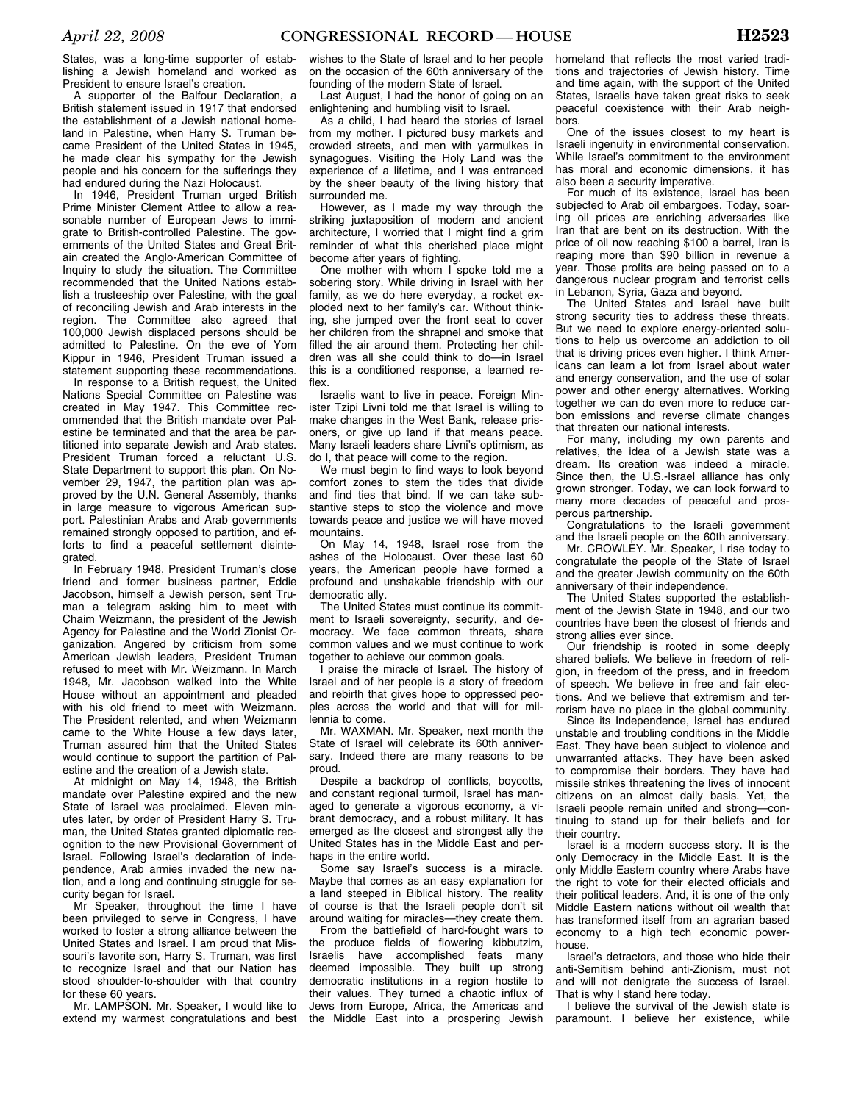lishing a Jewish homeland and worked as President to ensure Israel's creation. A supporter of the Balfour Declaration, a

British statement issued in 1917 that endorsed the establishment of a Jewish national homeland in Palestine, when Harry S. Truman became President of the United States in 1945, he made clear his sympathy for the Jewish people and his concern for the sufferings they had endured during the Nazi Holocaust.

In 1946, President Truman urged British Prime Minister Clement Attlee to allow a reasonable number of European Jews to immigrate to British-controlled Palestine. The governments of the United States and Great Britain created the Anglo-American Committee of Inquiry to study the situation. The Committee recommended that the United Nations establish a trusteeship over Palestine, with the goal of reconciling Jewish and Arab interests in the region. The Committee also agreed that 100,000 Jewish displaced persons should be admitted to Palestine. On the eve of Yom Kippur in 1946, President Truman issued a statement supporting these recommendations.

In response to a British request, the United Nations Special Committee on Palestine was created in May 1947. This Committee recommended that the British mandate over Palestine be terminated and that the area be partitioned into separate Jewish and Arab states. President Truman forced a reluctant U.S. State Department to support this plan. On November 29, 1947, the partition plan was approved by the U.N. General Assembly, thanks in large measure to vigorous American support. Palestinian Arabs and Arab governments remained strongly opposed to partition, and efforts to find a peaceful settlement disintegrated.

In February 1948, President Truman's close friend and former business partner, Eddie Jacobson, himself a Jewish person, sent Truman a telegram asking him to meet with Chaim Weizmann, the president of the Jewish Agency for Palestine and the World Zionist Organization. Angered by criticism from some American Jewish leaders, President Truman refused to meet with Mr. Weizmann. In March 1948, Mr. Jacobson walked into the White House without an appointment and pleaded with his old friend to meet with Weizmann. The President relented, and when Weizmann came to the White House a few days later, Truman assured him that the United States would continue to support the partition of Palestine and the creation of a Jewish state.

At midnight on May 14, 1948, the British mandate over Palestine expired and the new State of Israel was proclaimed. Eleven minutes later, by order of President Harry S. Truman, the United States granted diplomatic recognition to the new Provisional Government of Israel. Following Israel's declaration of independence, Arab armies invaded the new nation, and a long and continuing struggle for security began for Israel.

Mr Speaker, throughout the time I have been privileged to serve in Congress, I have worked to foster a strong alliance between the United States and Israel. I am proud that Missouri's favorite son, Harry S. Truman, was first to recognize Israel and that our Nation has stood shoulder-to-shoulder with that country for these 60 years.

Mr. LAMPSON. Mr. Speaker, I would like to extend my warmest congratulations and best

wishes to the State of Israel and to her people on the occasion of the 60th anniversary of the founding of the modern State of Israel.

Last August, I had the honor of going on an enlightening and humbling visit to Israel.

As a child, I had heard the stories of Israel from my mother. I pictured busy markets and crowded streets, and men with yarmulkes in synagogues. Visiting the Holy Land was the experience of a lifetime, and I was entranced by the sheer beauty of the living history that surrounded me.

However, as I made my way through the striking juxtaposition of modern and ancient architecture, I worried that I might find a grim reminder of what this cherished place might become after years of fighting.

One mother with whom I spoke told me a sobering story. While driving in Israel with her family, as we do here everyday, a rocket exploded next to her family's car. Without thinking, she jumped over the front seat to cover her children from the shrapnel and smoke that filled the air around them. Protecting her children was all she could think to do—in Israel this is a conditioned response, a learned reflex.

Israelis want to live in peace. Foreign Minister Tzipi Livni told me that Israel is willing to make changes in the West Bank, release prisoners, or give up land if that means peace. Many Israeli leaders share Livni's optimism, as do I, that peace will come to the region.

We must begin to find ways to look beyond comfort zones to stem the tides that divide and find ties that bind. If we can take substantive steps to stop the violence and move towards peace and justice we will have moved mountains.

On May 14, 1948, Israel rose from the ashes of the Holocaust. Over these last 60 years, the American people have formed a profound and unshakable friendship with our democratic ally.

The United States must continue its commitment to Israeli sovereignty, security, and democracy. We face common threats, share common values and we must continue to work together to achieve our common goals.

I praise the miracle of Israel. The history of Israel and of her people is a story of freedom and rebirth that gives hope to oppressed peoples across the world and that will for millennia to come.

Mr. WAXMAN. Mr. Speaker, next month the State of Israel will celebrate its 60th anniversary. Indeed there are many reasons to be proud.

Despite a backdrop of conflicts, boycotts, and constant regional turmoil, Israel has managed to generate a vigorous economy, a vibrant democracy, and a robust military. It has emerged as the closest and strongest ally the United States has in the Middle East and perhaps in the entire world.

Some say Israel's success is a miracle. Maybe that comes as an easy explanation for a land steeped in Biblical history. The reality of course is that the Israeli people don't sit around waiting for miracles—they create them.

From the battlefield of hard-fought wars to the produce fields of flowering kibbutzim, Israelis have accomplished feats many deemed impossible. They built up strong democratic institutions in a region hostile to their values. They turned a chaotic influx of Jews from Europe, Africa, the Americas and the Middle East into a prospering Jewish

homeland that reflects the most varied traditions and trajectories of Jewish history. Time and time again, with the support of the United States, Israelis have taken great risks to seek peaceful coexistence with their Arab neighbors.

One of the issues closest to my heart is Israeli ingenuity in environmental conservation. While Israel's commitment to the environment has moral and economic dimensions, it has also been a security imperative.

For much of its existence, Israel has been subjected to Arab oil embargoes. Today, soaring oil prices are enriching adversaries like Iran that are bent on its destruction. With the price of oil now reaching \$100 a barrel, Iran is reaping more than \$90 billion in revenue a year. Those profits are being passed on to a dangerous nuclear program and terrorist cells in Lebanon, Syria, Gaza and beyond.

The United States and Israel have built strong security ties to address these threats. But we need to explore energy-oriented solutions to help us overcome an addiction to oil that is driving prices even higher. I think Americans can learn a lot from Israel about water and energy conservation, and the use of solar power and other energy alternatives. Working together we can do even more to reduce carbon emissions and reverse climate changes that threaten our national interests.

For many, including my own parents and relatives, the idea of a Jewish state was a dream. Its creation was indeed a miracle. Since then, the U.S.-Israel alliance has only grown stronger. Today, we can look forward to many more decades of peaceful and prosperous partnership.

Congratulations to the Israeli government and the Israeli people on the 60th anniversary.

Mr. CROWLEY. Mr. Speaker, I rise today to congratulate the people of the State of Israel and the greater Jewish community on the 60th anniversary of their independence.

The United States supported the establishment of the Jewish State in 1948, and our two countries have been the closest of friends and strong allies ever since.

Our friendship is rooted in some deeply shared beliefs. We believe in freedom of religion, in freedom of the press, and in freedom of speech. We believe in free and fair elections. And we believe that extremism and terrorism have no place in the global community.

Since its Independence, Israel has endured unstable and troubling conditions in the Middle East. They have been subject to violence and unwarranted attacks. They have been asked to compromise their borders. They have had missile strikes threatening the lives of innocent citizens on an almost daily basis. Yet, the Israeli people remain united and strong—continuing to stand up for their beliefs and for their country.

Israel is a modern success story. It is the only Democracy in the Middle East. It is the only Middle Eastern country where Arabs have the right to vote for their elected officials and their political leaders. And, it is one of the only Middle Eastern nations without oil wealth that has transformed itself from an agrarian based economy to a high tech economic powerhouse.

Israel's detractors, and those who hide their anti-Semitism behind anti-Zionism, must not and will not denigrate the success of Israel. That is why I stand here today.

I believe the survival of the Jewish state is paramount. I believe her existence, while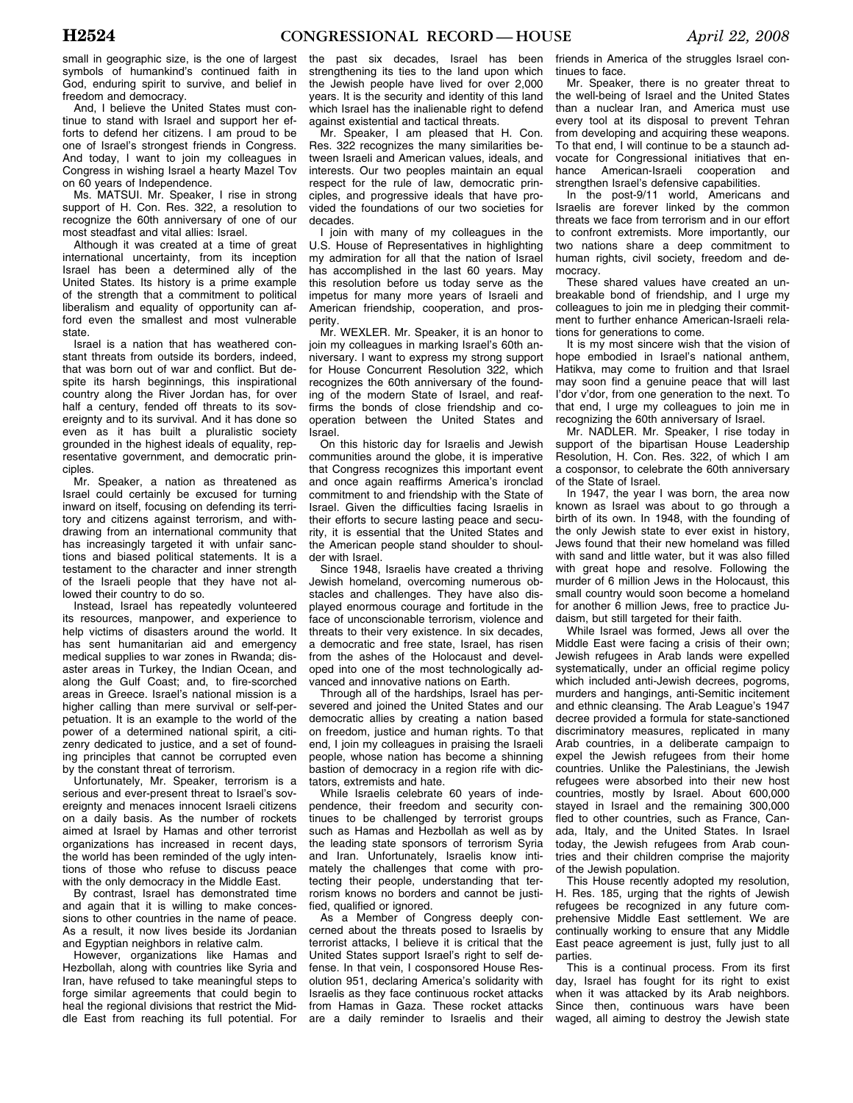small in geographic size, is the one of largest symbols of humankind's continued faith in God, enduring spirit to survive, and belief in freedom and democracy.

And, I believe the United States must continue to stand with Israel and support her efforts to defend her citizens. I am proud to be one of Israel's strongest friends in Congress. And today, I want to join my colleagues in Congress in wishing Israel a hearty Mazel Tov on 60 years of Independence.

Ms. MATSUI. Mr. Speaker, I rise in strong support of H. Con. Res. 322, a resolution to recognize the 60th anniversary of one of our most steadfast and vital allies: Israel.

Although it was created at a time of great international uncertainty, from its inception Israel has been a determined ally of the United States. Its history is a prime example of the strength that a commitment to political liberalism and equality of opportunity can afford even the smallest and most vulnerable state.

Israel is a nation that has weathered constant threats from outside its borders, indeed, that was born out of war and conflict. But despite its harsh beginnings, this inspirational country along the River Jordan has, for over half a century, fended off threats to its sovereignty and to its survival. And it has done so even as it has built a pluralistic society grounded in the highest ideals of equality, representative government, and democratic principles.

Mr. Speaker, a nation as threatened as Israel could certainly be excused for turning inward on itself, focusing on defending its territory and citizens against terrorism, and withdrawing from an international community that has increasingly targeted it with unfair sanctions and biased political statements. It is a testament to the character and inner strength of the Israeli people that they have not allowed their country to do so.

Instead, Israel has repeatedly volunteered its resources, manpower, and experience to help victims of disasters around the world. It has sent humanitarian aid and emergency medical supplies to war zones in Rwanda; disaster areas in Turkey, the Indian Ocean, and along the Gulf Coast; and, to fire-scorched areas in Greece. Israel's national mission is a higher calling than mere survival or self-perpetuation. It is an example to the world of the power of a determined national spirit, a citizenry dedicated to justice, and a set of founding principles that cannot be corrupted even by the constant threat of terrorism.

Unfortunately, Mr. Speaker, terrorism is a serious and ever-present threat to Israel's sovereignty and menaces innocent Israeli citizens on a daily basis. As the number of rockets aimed at Israel by Hamas and other terrorist organizations has increased in recent days, the world has been reminded of the ugly intentions of those who refuse to discuss peace with the only democracy in the Middle East.

By contrast, Israel has demonstrated time and again that it is willing to make concessions to other countries in the name of peace. As a result, it now lives beside its Jordanian and Egyptian neighbors in relative calm.

However, organizations like Hamas and Hezbollah, along with countries like Syria and Iran, have refused to take meaningful steps to forge similar agreements that could begin to heal the regional divisions that restrict the Middle East from reaching its full potential. For

the past six decades, Israel has been strengthening its ties to the land upon which the Jewish people have lived for over 2,000 years. It is the security and identity of this land which Israel has the inalienable right to defend against existential and tactical threats.

Mr. Speaker, I am pleased that H. Con. Res. 322 recognizes the many similarities between Israeli and American values, ideals, and interests. Our two peoples maintain an equal respect for the rule of law, democratic principles, and progressive ideals that have provided the foundations of our two societies for decades.

I join with many of my colleagues in the U.S. House of Representatives in highlighting my admiration for all that the nation of Israel has accomplished in the last 60 years. May this resolution before us today serve as the impetus for many more years of Israeli and American friendship, cooperation, and prosperity.

Mr. WEXLER. Mr. Speaker, it is an honor to join my colleagues in marking Israel's 60th anniversary. I want to express my strong support for House Concurrent Resolution 322, which recognizes the 60th anniversary of the founding of the modern State of Israel, and reaffirms the bonds of close friendship and cooperation between the United States and Israel.

On this historic day for Israelis and Jewish communities around the globe, it is imperative that Congress recognizes this important event and once again reaffirms America's ironclad commitment to and friendship with the State of Israel. Given the difficulties facing Israelis in their efforts to secure lasting peace and security, it is essential that the United States and the American people stand shoulder to shoulder with Israel.

Since 1948, Israelis have created a thriving Jewish homeland, overcoming numerous obstacles and challenges. They have also displayed enormous courage and fortitude in the face of unconscionable terrorism, violence and threats to their very existence. In six decades, a democratic and free state, Israel, has risen from the ashes of the Holocaust and developed into one of the most technologically advanced and innovative nations on Earth.

Through all of the hardships, Israel has persevered and joined the United States and our democratic allies by creating a nation based on freedom, justice and human rights. To that end, I join my colleagues in praising the Israeli people, whose nation has become a shinning bastion of democracy in a region rife with dictators, extremists and hate.

While Israelis celebrate 60 years of independence, their freedom and security continues to be challenged by terrorist groups such as Hamas and Hezbollah as well as by the leading state sponsors of terrorism Syria and Iran. Unfortunately, Israelis know intimately the challenges that come with protecting their people, understanding that terrorism knows no borders and cannot be justified, qualified or ignored.

As a Member of Congress deeply concerned about the threats posed to Israelis by terrorist attacks, I believe it is critical that the United States support Israel's right to self defense. In that vein, I cosponsored House Resolution 951, declaring America's solidarity with Israelis as they face continuous rocket attacks from Hamas in Gaza. These rocket attacks are a daily reminder to Israelis and their

friends in America of the struggles Israel continues to face.

Mr. Speaker, there is no greater threat to the well-being of Israel and the United States than a nuclear Iran, and America must use every tool at its disposal to prevent Tehran from developing and acquiring these weapons. To that end, I will continue to be a staunch advocate for Congressional initiatives that enhance American-Israeli cooperation and strengthen Israel's defensive capabilities.

In the post-9/11 world, Americans and Israelis are forever linked by the common threats we face from terrorism and in our effort to confront extremists. More importantly, our two nations share a deep commitment to human rights, civil society, freedom and democracy.

These shared values have created an unbreakable bond of friendship, and I urge my colleagues to join me in pledging their commitment to further enhance American-Israeli relations for generations to come.

It is my most sincere wish that the vision of hope embodied in Israel's national anthem, Hatikva, may come to fruition and that Israel may soon find a genuine peace that will last I'dor v'dor, from one generation to the next. To that end, I urge my colleagues to join me in recognizing the 60th anniversary of Israel.

Mr. NADLER. Mr. Speaker, I rise today in support of the bipartisan House Leadership Resolution, H. Con. Res. 322, of which I am a cosponsor, to celebrate the 60th anniversary of the State of Israel.

In 1947, the year I was born, the area now known as Israel was about to go through a birth of its own. In 1948, with the founding of the only Jewish state to ever exist in history, Jews found that their new homeland was filled with sand and little water, but it was also filled with great hope and resolve. Following the murder of 6 million Jews in the Holocaust, this small country would soon become a homeland for another 6 million Jews, free to practice Judaism, but still targeted for their faith.

While Israel was formed, Jews all over the Middle East were facing a crisis of their own; Jewish refugees in Arab lands were expelled systematically, under an official regime policy which included anti-Jewish decrees, pogroms, murders and hangings, anti-Semitic incitement and ethnic cleansing. The Arab League's 1947 decree provided a formula for state-sanctioned discriminatory measures, replicated in many Arab countries, in a deliberate campaign to expel the Jewish refugees from their home countries. Unlike the Palestinians, the Jewish refugees were absorbed into their new host countries, mostly by Israel. About 600,000 stayed in Israel and the remaining 300,000 fled to other countries, such as France, Canada, Italy, and the United States. In Israel today, the Jewish refugees from Arab countries and their children comprise the majority of the Jewish population.

This House recently adopted my resolution, H. Res. 185, urging that the rights of Jewish refugees be recognized in any future comprehensive Middle East settlement. We are continually working to ensure that any Middle East peace agreement is just, fully just to all parties.

This is a continual process. From its first day, Israel has fought for its right to exist when it was attacked by its Arab neighbors. Since then, continuous wars have been waged, all aiming to destroy the Jewish state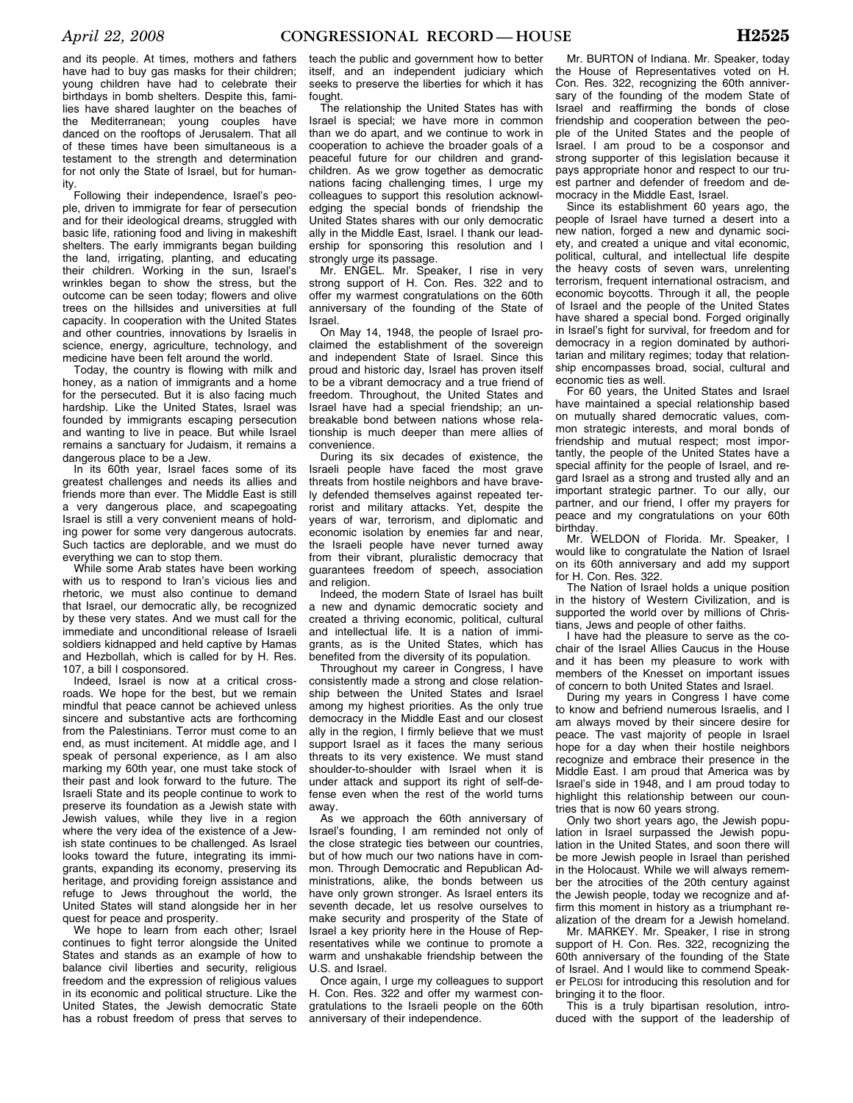and its people. At times, mothers and fathers have had to buy gas masks for their children; young children have had to celebrate their birthdays in bomb shelters. Despite this, families have shared laughter on the beaches of the Mediterranean; young couples have danced on the rooftops of Jerusalem. That all of these times have been simultaneous is a testament to the strength and determination for not only the State of Israel, but for humanity.

Following their independence, Israel's people, driven to immigrate for fear of persecution and for their ideological dreams, struggled with basic life, rationing food and living in makeshift shelters. The early immigrants began building the land, irrigating, planting, and educating their children. Working in the sun, Israel's wrinkles began to show the stress, but the outcome can be seen today; flowers and olive trees on the hillsides and universities at full capacity. In cooperation with the United States and other countries, innovations by Israelis in science, energy, agriculture, technology, and medicine have been felt around the world.

Today, the country is flowing with milk and honey, as a nation of immigrants and a home for the persecuted. But it is also facing much hardship. Like the United States, Israel was founded by immigrants escaping persecution and wanting to live in peace. But while Israel remains a sanctuary for Judaism, it remains a dangerous place to be a Jew.

In its 60th year, Israel faces some of its greatest challenges and needs its allies and friends more than ever. The Middle East is still a very dangerous place, and scapegoating Israel is still a very convenient means of holding power for some very dangerous autocrats. Such tactics are deplorable, and we must do everything we can to stop them.

While some Arab states have been working with us to respond to Iran's vicious lies and rhetoric, we must also continue to demand that Israel, our democratic ally, be recognized by these very states. And we must call for the immediate and unconditional release of Israeli soldiers kidnapped and held captive by Hamas and Hezbollah, which is called for by H. Res. 107, a bill I cosponsored.

Indeed, Israel is now at a critical crossroads. We hope for the best, but we remain mindful that peace cannot be achieved unless sincere and substantive acts are forthcoming from the Palestinians. Terror must come to an end, as must incitement. At middle age, and I speak of personal experience, as I am also marking my 60th year, one must take stock of their past and look forward to the future. The Israeli State and its people continue to work to preserve its foundation as a Jewish state with Jewish values, while they live in a region where the very idea of the existence of a Jewish state continues to be challenged. As Israel looks toward the future, integrating its immigrants, expanding its economy, preserving its heritage, and providing foreign assistance and refuge to Jews throughout the world, the United States will stand alongside her in her quest for peace and prosperity.

We hope to learn from each other; Israel continues to fight terror alongside the United States and stands as an example of how to balance civil liberties and security, religious freedom and the expression of religious values in its economic and political structure. Like the United States, the Jewish democratic State has a robust freedom of press that serves to

teach the public and government how to better itself, and an independent judiciary which seeks to preserve the liberties for which it has fought.

The relationship the United States has with Israel is special; we have more in common than we do apart, and we continue to work in cooperation to achieve the broader goals of a peaceful future for our children and grandchildren. As we grow together as democratic nations facing challenging times, I urge my colleagues to support this resolution acknowledging the special bonds of friendship the United States shares with our only democratic ally in the Middle East, Israel. I thank our leadership for sponsoring this resolution and I strongly urge its passage.

Mr. ENGEL. Mr. Speaker, I rise in very strong support of H. Con. Res. 322 and to offer my warmest congratulations on the 60th anniversary of the founding of the State of Israel.

On May 14, 1948, the people of Israel proclaimed the establishment of the sovereign and independent State of Israel. Since this proud and historic day, Israel has proven itself to be a vibrant democracy and a true friend of freedom. Throughout, the United States and Israel have had a special friendship; an unbreakable bond between nations whose relationship is much deeper than mere allies of convenience.

During its six decades of existence, the Israeli people have faced the most grave threats from hostile neighbors and have bravely defended themselves against repeated terrorist and military attacks. Yet, despite the years of war, terrorism, and diplomatic and economic isolation by enemies far and near, the Israeli people have never turned away from their vibrant, pluralistic democracy that guarantees freedom of speech, association and religion.

Indeed, the modern State of Israel has built a new and dynamic democratic society and created a thriving economic, political, cultural and intellectual life. It is a nation of immigrants, as is the United States, which has benefited from the diversity of its population.

Throughout my career in Congress, I have consistently made a strong and close relationship between the United States and Israel among my highest priorities. As the only true democracy in the Middle East and our closest ally in the region, I firmly believe that we must support Israel as it faces the many serious threats to its very existence. We must stand shoulder-to-shoulder with Israel when it is under attack and support its right of self-defense even when the rest of the world turns away.

As we approach the 60th anniversary of Israel's founding, I am reminded not only of the close strategic ties between our countries, but of how much our two nations have in common. Through Democratic and Republican Administrations, alike, the bonds between us have only grown stronger. As Israel enters its seventh decade, let us resolve ourselves to make security and prosperity of the State of Israel a key priority here in the House of Representatives while we continue to promote a warm and unshakable friendship between the U.S. and Israel.

Once again, I urge my colleagues to support H. Con. Res. 322 and offer my warmest congratulations to the Israeli people on the 60th anniversary of their independence.

Mr. BURTON of Indiana. Mr. Speaker, today the House of Representatives voted on H. Con. Res. 322, recognizing the 60th anniversary of the founding of the modem State of Israel and reaffirming the bonds of close friendship and cooperation between the people of the United States and the people of Israel. I am proud to be a cosponsor and strong supporter of this legislation because it pays appropriate honor and respect to our truest partner and defender of freedom and democracy in the Middle East, Israel.

Since its establishment 60 years ago, the people of Israel have turned a desert into a new nation, forged a new and dynamic society, and created a unique and vital economic, political, cultural, and intellectual life despite the heavy costs of seven wars, unrelenting terrorism, frequent international ostracism, and economic boycotts. Through it all, the people of Israel and the people of the United States have shared a special bond. Forged originally in Israel's fight for survival, for freedom and for democracy in a region dominated by authoritarian and military regimes; today that relationship encompasses broad, social, cultural and economic ties as well.

For 60 years, the United States and Israel have maintained a special relationship based on mutually shared democratic values, common strategic interests, and moral bonds of friendship and mutual respect; most importantly, the people of the United States have a special affinity for the people of Israel, and regard Israel as a strong and trusted ally and an important strategic partner. To our ally, our partner, and our friend, I offer my prayers for peace and my congratulations on your 60th birthday.

Mr. WELDON of Florida. Mr. Speaker, I would like to congratulate the Nation of Israel on its 60th anniversary and add my support for H. Con. Res. 322.

The Nation of Israel holds a unique position in the history of Western Civilization, and is supported the world over by millions of Christians, Jews and people of other faiths.

I have had the pleasure to serve as the cochair of the Israel Allies Caucus in the House and it has been my pleasure to work with members of the Knesset on important issues of concern to both United States and Israel.

During my years in Congress I have come to know and befriend numerous Israelis, and I am always moved by their sincere desire for peace. The vast majority of people in Israel hope for a day when their hostile neighbors recognize and embrace their presence in the Middle East. I am proud that America was by Israel's side in 1948, and I am proud today to highlight this relationship between our countries that is now 60 years strong.

Only two short years ago, the Jewish population in Israel surpassed the Jewish population in the United States, and soon there will be more Jewish people in Israel than perished in the Holocaust. While we will always remember the atrocities of the 20th century against the Jewish people, today we recognize and affirm this moment in history as a triumphant realization of the dream for a Jewish homeland.

Mr. MARKEY. Mr. Speaker, I rise in strong support of H. Con. Res. 322, recognizing the 60th anniversary of the founding of the State of Israel. And I would like to commend Speaker PELOSI for introducing this resolution and for bringing it to the floor.

This is a truly bipartisan resolution, introduced with the support of the leadership of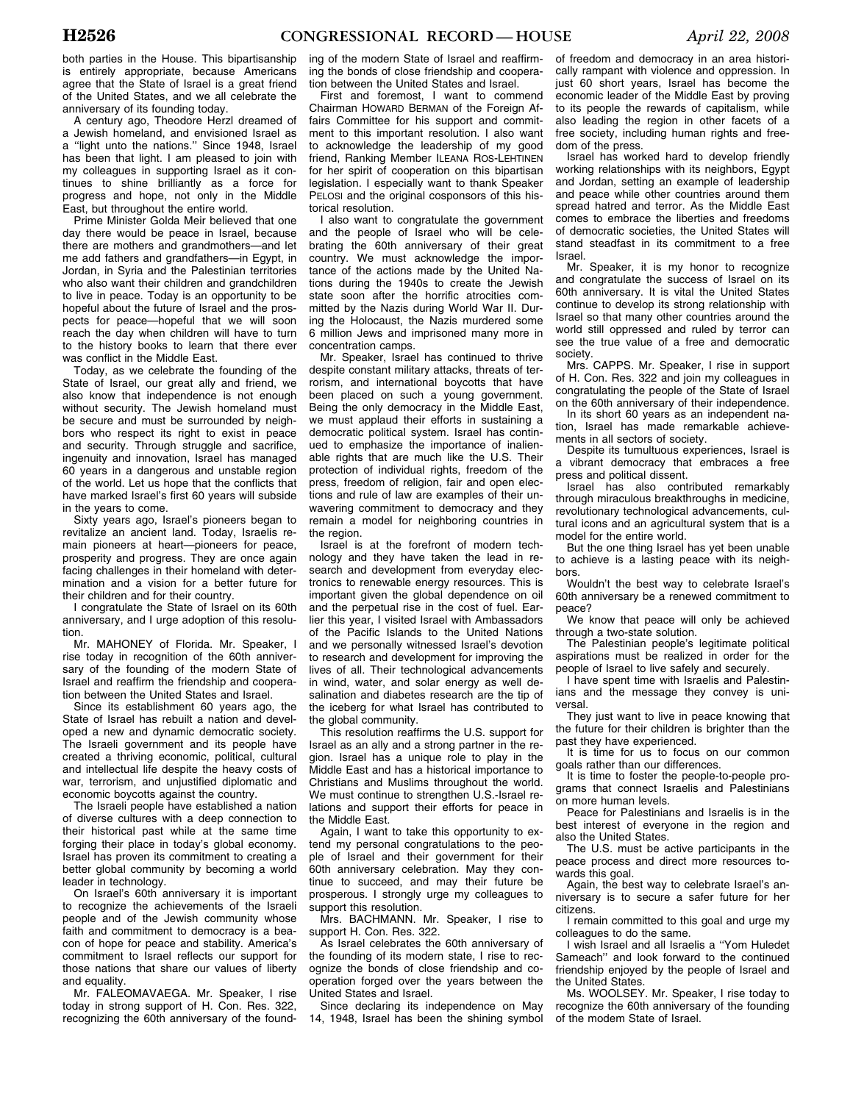both parties in the House. This bipartisanship is entirely appropriate, because Americans agree that the State of Israel is a great friend of the United States, and we all celebrate the anniversary of its founding today.

A century ago, Theodore Herzl dreamed of a Jewish homeland, and envisioned Israel as a ''light unto the nations.'' Since 1948, Israel has been that light. I am pleased to join with my colleagues in supporting Israel as it continues to shine brilliantly as a force for progress and hope, not only in the Middle East, but throughout the entire world.

Prime Minister Golda Meir believed that one day there would be peace in Israel, because there are mothers and grandmothers—and let me add fathers and grandfathers—in Egypt, in Jordan, in Syria and the Palestinian territories who also want their children and grandchildren to live in peace. Today is an opportunity to be hopeful about the future of Israel and the prospects for peace—hopeful that we will soon reach the day when children will have to turn to the history books to learn that there ever was conflict in the Middle East.

Today, as we celebrate the founding of the State of Israel, our great ally and friend, we also know that independence is not enough without security. The Jewish homeland must be secure and must be surrounded by neighbors who respect its right to exist in peace and security. Through struggle and sacrifice, ingenuity and innovation, Israel has managed 60 years in a dangerous and unstable region of the world. Let us hope that the conflicts that have marked Israel's first 60 years will subside in the years to come.

Sixty years ago, Israel's pioneers began to revitalize an ancient land. Today, Israelis remain pioneers at heart—pioneers for peace, prosperity and progress. They are once again facing challenges in their homeland with determination and a vision for a better future for their children and for their country.

I congratulate the State of Israel on its 60th anniversary, and I urge adoption of this resolution.

Mr. MAHONEY of Florida. Mr. Speaker, I rise today in recognition of the 60th anniversary of the founding of the modern State of Israel and reaffirm the friendship and cooperation between the United States and Israel.

Since its establishment 60 years ago, the State of Israel has rebuilt a nation and developed a new and dynamic democratic society. The Israeli government and its people have created a thriving economic, political, cultural and intellectual life despite the heavy costs of war, terrorism, and unjustified diplomatic and economic boycotts against the country.

The Israeli people have established a nation of diverse cultures with a deep connection to their historical past while at the same time forging their place in today's global economy. Israel has proven its commitment to creating a better global community by becoming a world leader in technology.

On Israel's 60th anniversary it is important to recognize the achievements of the Israeli people and of the Jewish community whose faith and commitment to democracy is a beacon of hope for peace and stability. America's commitment to Israel reflects our support for those nations that share our values of liberty and equality.

Mr. FALEOMAVAEGA. Mr. Speaker, I rise today in strong support of H. Con. Res. 322, recognizing the 60th anniversary of the found-

ing of the modern State of Israel and reaffirming the bonds of close friendship and cooperation between the United States and Israel.

First and foremost, I want to commend Chairman HOWARD BERMAN of the Foreign Affairs Committee for his support and commitment to this important resolution. I also want to acknowledge the leadership of my good friend, Ranking Member ILEANA ROS-LEHTINEN for her spirit of cooperation on this bipartisan legislation. I especially want to thank Speaker PELOSI and the original cosponsors of this historical resolution.

I also want to congratulate the government and the people of Israel who will be celebrating the 60th anniversary of their great country. We must acknowledge the importance of the actions made by the United Nations during the 1940s to create the Jewish state soon after the horrific atrocities committed by the Nazis during World War II. During the Holocaust, the Nazis murdered some 6 million Jews and imprisoned many more in concentration camps.

Mr. Speaker, Israel has continued to thrive despite constant military attacks, threats of terrorism, and international boycotts that have been placed on such a young government. Being the only democracy in the Middle East, we must applaud their efforts in sustaining a democratic political system. Israel has continued to emphasize the importance of inalienable rights that are much like the U.S. Their protection of individual rights, freedom of the press, freedom of religion, fair and open elections and rule of law are examples of their unwavering commitment to democracy and they remain a model for neighboring countries in the region.

Israel is at the forefront of modern technology and they have taken the lead in research and development from everyday electronics to renewable energy resources. This is important given the global dependence on oil and the perpetual rise in the cost of fuel. Earlier this year, I visited Israel with Ambassadors of the Pacific Islands to the United Nations and we personally witnessed Israel's devotion to research and development for improving the lives of all. Their technological advancements in wind, water, and solar energy as well desalination and diabetes research are the tip of the iceberg for what Israel has contributed to the global community.

This resolution reaffirms the U.S. support for Israel as an ally and a strong partner in the region. Israel has a unique role to play in the Middle East and has a historical importance to Christians and Muslims throughout the world. We must continue to strengthen U.S.-Israel relations and support their efforts for peace in the Middle East.

Again, I want to take this opportunity to extend my personal congratulations to the people of Israel and their government for their 60th anniversary celebration. May they continue to succeed, and may their future be prosperous. I strongly urge my colleagues to support this resolution.

Mrs. BACHMANN. Mr. Speaker, I rise to support H. Con. Res. 322.

As Israel celebrates the 60th anniversary of the founding of its modern state, I rise to recognize the bonds of close friendship and cooperation forged over the years between the United States and Israel.

Since declaring its independence on May 14, 1948, Israel has been the shining symbol

of freedom and democracy in an area historically rampant with violence and oppression. In just 60 short years, Israel has become the economic leader of the Middle East by proving to its people the rewards of capitalism, while also leading the region in other facets of a free society, including human rights and freedom of the press.

Israel has worked hard to develop friendly working relationships with its neighbors, Egypt and Jordan, setting an example of leadership and peace while other countries around them spread hatred and terror. As the Middle East comes to embrace the liberties and freedoms of democratic societies, the United States will stand steadfast in its commitment to a free Israel.

Mr. Speaker, it is my honor to recognize and congratulate the success of Israel on its 60th anniversary. It is vital the United States continue to develop its strong relationship with Israel so that many other countries around the world still oppressed and ruled by terror can see the true value of a free and democratic society.

Mrs. CAPPS. Mr. Speaker, I rise in support of H. Con. Res. 322 and join my colleagues in congratulating the people of the State of Israel on the 60th anniversary of their independence.

In its short 60 years as an independent nation, Israel has made remarkable achievements in all sectors of society.

Despite its tumultuous experiences, Israel is a vibrant democracy that embraces a free press and political dissent.

Israel has also contributed remarkably through miraculous breakthroughs in medicine, revolutionary technological advancements, cultural icons and an agricultural system that is a model for the entire world.

But the one thing Israel has yet been unable to achieve is a lasting peace with its neighbors.

Wouldn't the best way to celebrate Israel's 60th anniversary be a renewed commitment to peace?

We know that peace will only be achieved through a two-state solution.

The Palestinian people's legitimate political aspirations must be realized in order for the people of Israel to live safely and securely.

I have spent time with Israelis and Palestinians and the message they convey is universal.

They just want to live in peace knowing that the future for their children is brighter than the past they have experienced.

It is time for us to focus on our common goals rather than our differences.

It is time to foster the people-to-people programs that connect Israelis and Palestinians on more human levels.

Peace for Palestinians and Israelis is in the best interest of everyone in the region and also the United States.

The U.S. must be active participants in the peace process and direct more resources towards this goal.

Again, the best way to celebrate Israel's anniversary is to secure a safer future for her citizens.

I remain committed to this goal and urge my colleagues to do the same.

I wish Israel and all Israelis a ''Yom Huledet Sameach'' and look forward to the continued friendship enjoyed by the people of Israel and the United States.

Ms. WOOLSEY. Mr. Speaker, I rise today to recognize the 60th anniversary of the founding of the modem State of Israel.